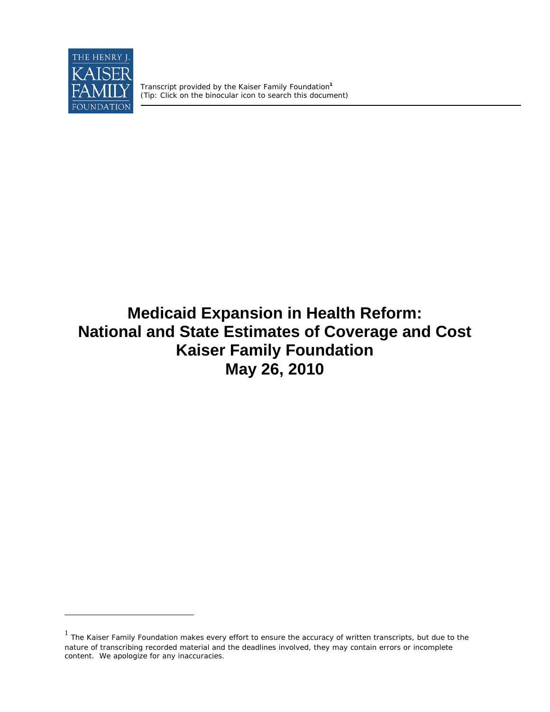

 $\overline{a}$ 

 Transcript provided by the Kaiser Family Foundation**<sup>1</sup>**  *(Tip: Click on the binocular icon to search this document)* 

## **Medicaid Expansion in Health Reform: National and State Estimates of Coverage and Cost Kaiser Family Foundation May 26, 2010**

 $1$  The Kaiser Family Foundation makes every effort to ensure the accuracy of written transcripts, but due to the nature of transcribing recorded material and the deadlines involved, they may contain errors or incomplete content. We apologize for any inaccuracies.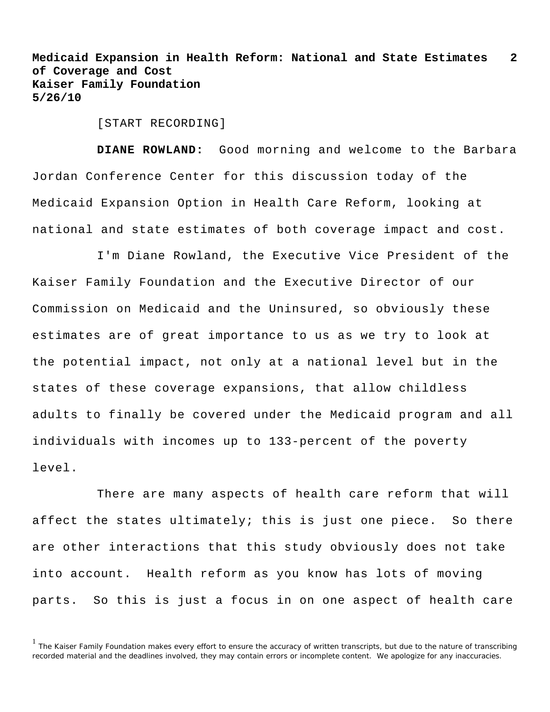[START RECORDING]

**DIANE ROWLAND:** Good morning and welcome to the Barbara Jordan Conference Center for this discussion today of the Medicaid Expansion Option in Health Care Reform, looking at national and state estimates of both coverage impact and cost.

I'm Diane Rowland, the Executive Vice President of the Kaiser Family Foundation and the Executive Director of our Commission on Medicaid and the Uninsured, so obviously these estimates are of great importance to us as we try to look at the potential impact, not only at a national level but in the states of these coverage expansions, that allow childless adults to finally be covered under the Medicaid program and all individuals with incomes up to 133-percent of the poverty level.

There are many aspects of health care reform that will affect the states ultimately; this is just one piece. So there are other interactions that this study obviously does not take into account. Health reform as you know has lots of moving parts. So this is just a focus in on one aspect of health care

<sup>1</sup> The Kaiser Family Foundation makes every effort to ensure the accuracy of written transcripts, but due to the nature of transcribing recorded material and the deadlines involved, they may contain errors or incomplete content. We apologize for any inaccuracies.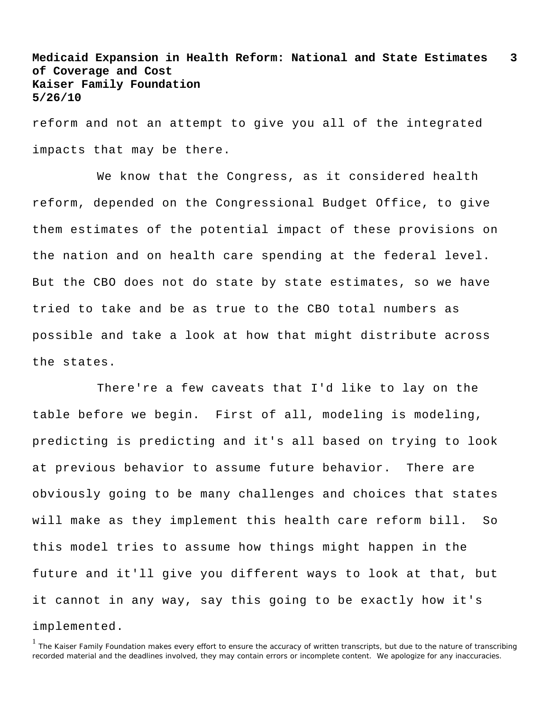reform and not an attempt to give you all of the integrated impacts that may be there.

We know that the Congress, as it considered health reform, depended on the Congressional Budget Office, to give them estimates of the potential impact of these provisions on the nation and on health care spending at the federal level. But the CBO does not do state by state estimates, so we have tried to take and be as true to the CBO total numbers as possible and take a look at how that might distribute across the states.

There're a few caveats that I'd like to lay on the table before we begin. First of all, modeling is modeling, predicting is predicting and it's all based on trying to look at previous behavior to assume future behavior. There are obviously going to be many challenges and choices that states will make as they implement this health care reform bill. So this model tries to assume how things might happen in the future and it'll give you different ways to look at that, but it cannot in any way, say this going to be exactly how it's implemented.

<sup>&</sup>lt;sup>1</sup> The Kaiser Family Foundation makes every effort to ensure the accuracy of written transcripts, but due to the nature of transcribing recorded material and the deadlines involved, they may contain errors or incomplete content. We apologize for any inaccuracies.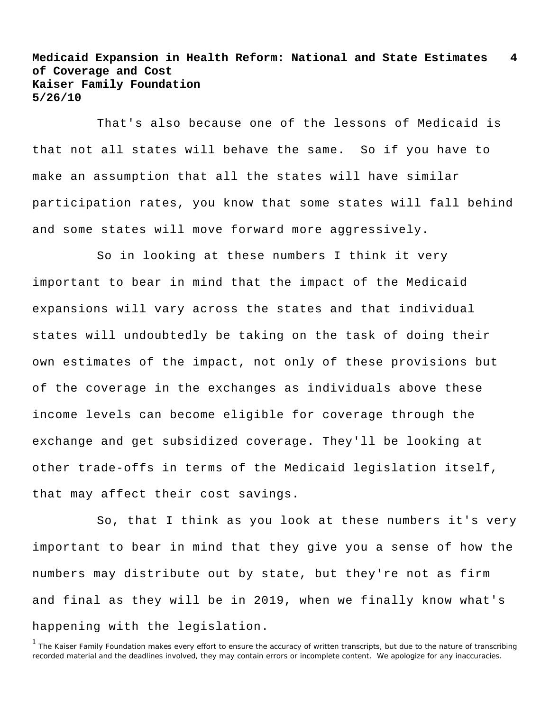That's also because one of the lessons of Medicaid is that not all states will behave the same. So if you have to make an assumption that all the states will have similar participation rates, you know that some states will fall behind and some states will move forward more aggressively.

So in looking at these numbers I think it very important to bear in mind that the impact of the Medicaid expansions will vary across the states and that individual states will undoubtedly be taking on the task of doing their own estimates of the impact, not only of these provisions but of the coverage in the exchanges as individuals above these income levels can become eligible for coverage through the exchange and get subsidized coverage. They'll be looking at other trade-offs in terms of the Medicaid legislation itself, that may affect their cost savings.

So, that I think as you look at these numbers it's very important to bear in mind that they give you a sense of how the numbers may distribute out by state, but they're not as firm and final as they will be in 2019, when we finally know what's happening with the legislation.

<sup>&</sup>lt;sup>1</sup> The Kaiser Family Foundation makes every effort to ensure the accuracy of written transcripts, but due to the nature of transcribing recorded material and the deadlines involved, they may contain errors or incomplete content. We apologize for any inaccuracies.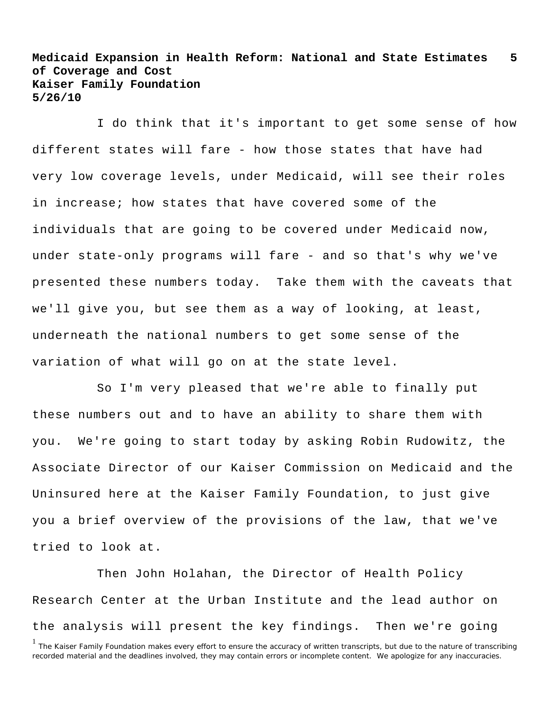I do think that it's important to get some sense of how different states will fare - how those states that have had very low coverage levels, under Medicaid, will see their roles in increase; how states that have covered some of the individuals that are going to be covered under Medicaid now, under state-only programs will fare - and so that's why we've presented these numbers today. Take them with the caveats that we'll give you, but see them as a way of looking, at least, underneath the national numbers to get some sense of the variation of what will go on at the state level.

So I'm very pleased that we're able to finally put these numbers out and to have an ability to share them with you. We're going to start today by asking Robin Rudowitz, the Associate Director of our Kaiser Commission on Medicaid and the Uninsured here at the Kaiser Family Foundation, to just give you a brief overview of the provisions of the law, that we've tried to look at.

Then John Holahan, the Director of Health Policy Research Center at the Urban Institute and the lead author on the analysis will present the key findings. Then we're going

<sup>&</sup>lt;sup>1</sup> The Kaiser Family Foundation makes every effort to ensure the accuracy of written transcripts, but due to the nature of transcribing recorded material and the deadlines involved, they may contain errors or incomplete content. We apologize for any inaccuracies.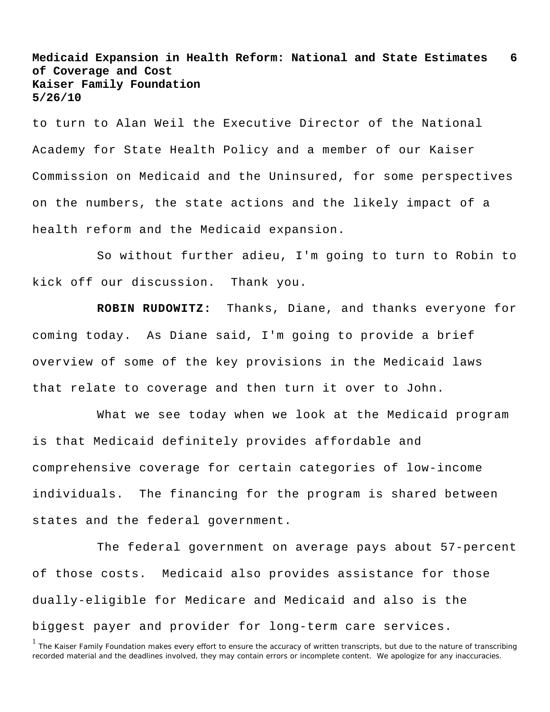to turn to Alan Weil the Executive Director of the National Academy for State Health Policy and a member of our Kaiser Commission on Medicaid and the Uninsured, for some perspectives on the numbers, the state actions and the likely impact of a health reform and the Medicaid expansion.

So without further adieu, I'm going to turn to Robin to kick off our discussion. Thank you.

**ROBIN RUDOWITZ:** Thanks, Diane, and thanks everyone for coming today. As Diane said, I'm going to provide a brief overview of some of the key provisions in the Medicaid laws that relate to coverage and then turn it over to John.

What we see today when we look at the Medicaid program is that Medicaid definitely provides affordable and comprehensive coverage for certain categories of low-income individuals. The financing for the program is shared between states and the federal government.

The federal government on average pays about 57-percent of those costs. Medicaid also provides assistance for those dually-eligible for Medicare and Medicaid and also is the biggest payer and provider for long-term care services.

<sup>&</sup>lt;sup>1</sup> The Kaiser Family Foundation makes every effort to ensure the accuracy of written transcripts, but due to the nature of transcribing recorded material and the deadlines involved, they may contain errors or incomplete content. We apologize for any inaccuracies.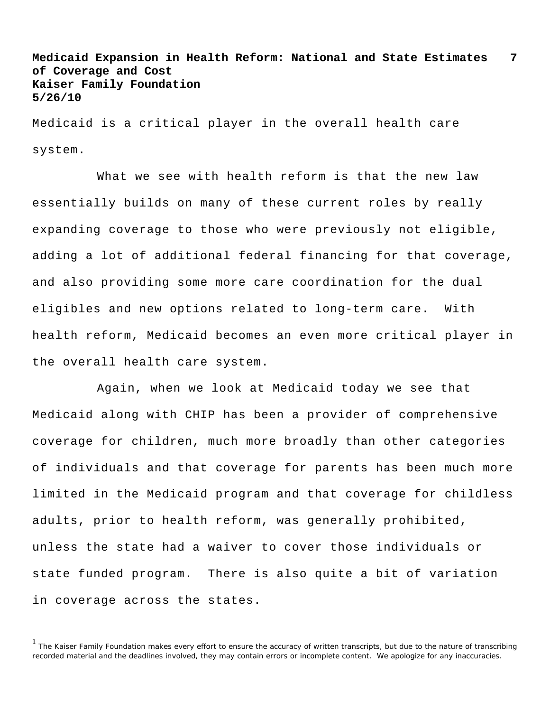Medicaid is a critical player in the overall health care system.

What we see with health reform is that the new law essentially builds on many of these current roles by really expanding coverage to those who were previously not eligible, adding a lot of additional federal financing for that coverage, and also providing some more care coordination for the dual eligibles and new options related to long-term care. With health reform, Medicaid becomes an even more critical player in the overall health care system.

Again, when we look at Medicaid today we see that Medicaid along with CHIP has been a provider of comprehensive coverage for children, much more broadly than other categories of individuals and that coverage for parents has been much more limited in the Medicaid program and that coverage for childless adults, prior to health reform, was generally prohibited, unless the state had a waiver to cover those individuals or state funded program. There is also quite a bit of variation in coverage across the states.

<sup>&</sup>lt;sup>1</sup> The Kaiser Family Foundation makes every effort to ensure the accuracy of written transcripts, but due to the nature of transcribing recorded material and the deadlines involved, they may contain errors or incomplete content. We apologize for any inaccuracies.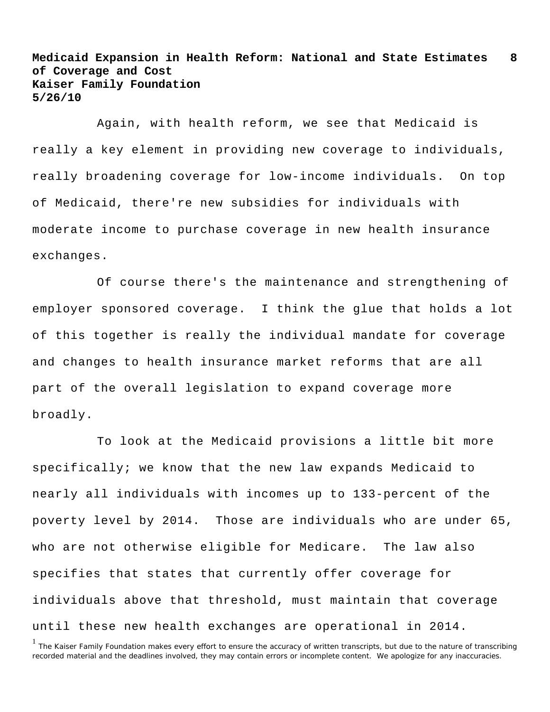Again, with health reform, we see that Medicaid is really a key element in providing new coverage to individuals, really broadening coverage for low-income individuals. On top of Medicaid, there're new subsidies for individuals with moderate income to purchase coverage in new health insurance exchanges.

Of course there's the maintenance and strengthening of employer sponsored coverage. I think the glue that holds a lot of this together is really the individual mandate for coverage and changes to health insurance market reforms that are all part of the overall legislation to expand coverage more broadly.

To look at the Medicaid provisions a little bit more specifically; we know that the new law expands Medicaid to nearly all individuals with incomes up to 133-percent of the poverty level by 2014. Those are individuals who are under 65, who are not otherwise eligible for Medicare. The law also specifies that states that currently offer coverage for individuals above that threshold, must maintain that coverage until these new health exchanges are operational in 2014.

<sup>1</sup> The Kaiser Family Foundation makes every effort to ensure the accuracy of written transcripts, but due to the nature of transcribing recorded material and the deadlines involved, they may contain errors or incomplete content. We apologize for any inaccuracies.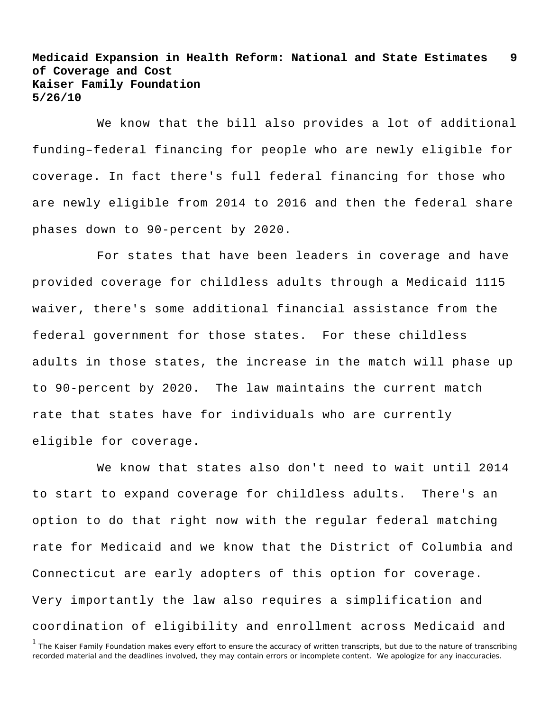We know that the bill also provides a lot of additional funding–federal financing for people who are newly eligible for coverage. In fact there's full federal financing for those who are newly eligible from 2014 to 2016 and then the federal share phases down to 90-percent by 2020.

For states that have been leaders in coverage and have provided coverage for childless adults through a Medicaid 1115 waiver, there's some additional financial assistance from the federal government for those states. For these childless adults in those states, the increase in the match will phase up to 90-percent by 2020. The law maintains the current match rate that states have for individuals who are currently eligible for coverage.

We know that states also don't need to wait until 2014 to start to expand coverage for childless adults. There's an option to do that right now with the regular federal matching rate for Medicaid and we know that the District of Columbia and Connecticut are early adopters of this option for coverage. Very importantly the law also requires a simplification and coordination of eligibility and enrollment across Medicaid and

<sup>&</sup>lt;sup>1</sup> The Kaiser Family Foundation makes every effort to ensure the accuracy of written transcripts, but due to the nature of transcribing recorded material and the deadlines involved, they may contain errors or incomplete content. We apologize for any inaccuracies.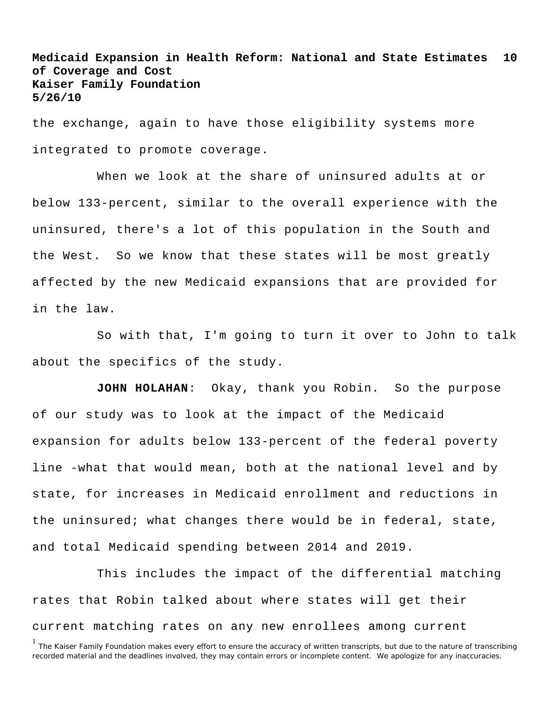the exchange, again to have those eligibility systems more integrated to promote coverage.

When we look at the share of uninsured adults at or below 133-percent, similar to the overall experience with the uninsured, there's a lot of this population in the South and the West. So we know that these states will be most greatly affected by the new Medicaid expansions that are provided for in the law.

So with that, I'm going to turn it over to John to talk about the specifics of the study.

**JOHN HOLAHAN**: Okay, thank you Robin. So the purpose of our study was to look at the impact of the Medicaid expansion for adults below 133-percent of the federal poverty line -what that would mean, both at the national level and by state, for increases in Medicaid enrollment and reductions in the uninsured; what changes there would be in federal, state, and total Medicaid spending between 2014 and 2019.

This includes the impact of the differential matching rates that Robin talked about where states will get their current matching rates on any new enrollees among current

<sup>&</sup>lt;sup>1</sup> The Kaiser Family Foundation makes every effort to ensure the accuracy of written transcripts, but due to the nature of transcribing recorded material and the deadlines involved, they may contain errors or incomplete content. We apologize for any inaccuracies.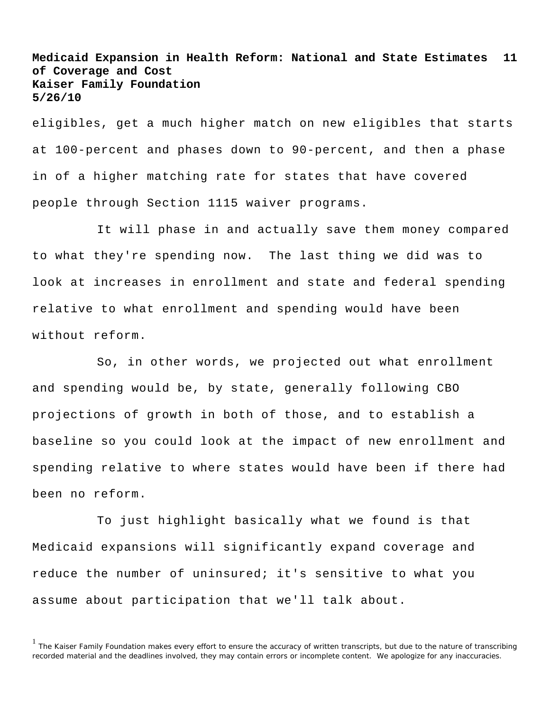eligibles, get a much higher match on new eligibles that starts at 100-percent and phases down to 90-percent, and then a phase in of a higher matching rate for states that have covered people through Section 1115 waiver programs.

It will phase in and actually save them money compared to what they're spending now. The last thing we did was to look at increases in enrollment and state and federal spending relative to what enrollment and spending would have been without reform.

So, in other words, we projected out what enrollment and spending would be, by state, generally following CBO projections of growth in both of those, and to establish a baseline so you could look at the impact of new enrollment and spending relative to where states would have been if there had been no reform.

To just highlight basically what we found is that Medicaid expansions will significantly expand coverage and reduce the number of uninsured; it's sensitive to what you assume about participation that we'll talk about.

<sup>&</sup>lt;sup>1</sup> The Kaiser Family Foundation makes every effort to ensure the accuracy of written transcripts, but due to the nature of transcribing recorded material and the deadlines involved, they may contain errors or incomplete content. We apologize for any inaccuracies.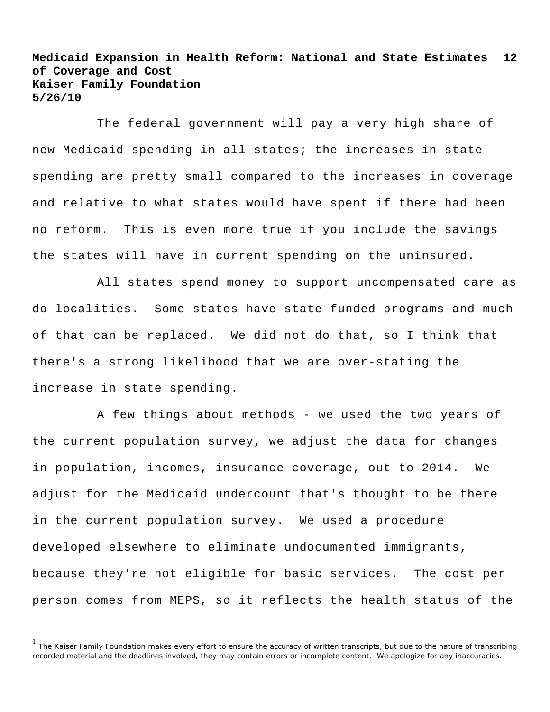The federal government will pay a very high share of new Medicaid spending in all states; the increases in state spending are pretty small compared to the increases in coverage and relative to what states would have spent if there had been no reform. This is even more true if you include the savings the states will have in current spending on the uninsured.

All states spend money to support uncompensated care as do localities. Some states have state funded programs and much of that can be replaced. We did not do that, so I think that there's a strong likelihood that we are over-stating the increase in state spending.

A few things about methods - we used the two years of the current population survey, we adjust the data for changes in population, incomes, insurance coverage, out to 2014. We adjust for the Medicaid undercount that's thought to be there in the current population survey. We used a procedure developed elsewhere to eliminate undocumented immigrants, because they're not eligible for basic services. The cost per person comes from MEPS, so it reflects the health status of the

<sup>&</sup>lt;sup>1</sup> The Kaiser Family Foundation makes every effort to ensure the accuracy of written transcripts, but due to the nature of transcribing recorded material and the deadlines involved, they may contain errors or incomplete content. We apologize for any inaccuracies.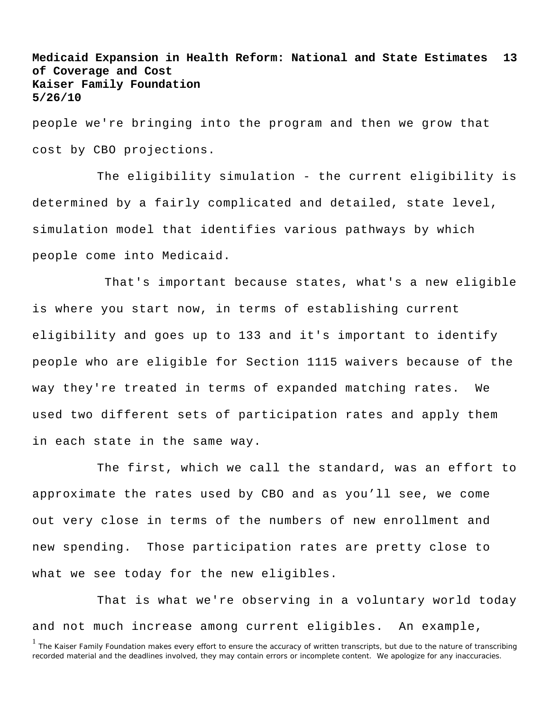people we're bringing into the program and then we grow that cost by CBO projections.

The eligibility simulation - the current eligibility is determined by a fairly complicated and detailed, state level, simulation model that identifies various pathways by which people come into Medicaid.

 That's important because states, what's a new eligible is where you start now, in terms of establishing current eligibility and goes up to 133 and it's important to identify people who are eligible for Section 1115 waivers because of the way they're treated in terms of expanded matching rates. We used two different sets of participation rates and apply them in each state in the same way.

The first, which we call the standard, was an effort to approximate the rates used by CBO and as you'll see, we come out very close in terms of the numbers of new enrollment and new spending. Those participation rates are pretty close to what we see today for the new eligibles.

That is what we're observing in a voluntary world today and not much increase among current eligibles. An example,

<sup>&</sup>lt;sup>1</sup> The Kaiser Family Foundation makes every effort to ensure the accuracy of written transcripts, but due to the nature of transcribing recorded material and the deadlines involved, they may contain errors or incomplete content. We apologize for any inaccuracies.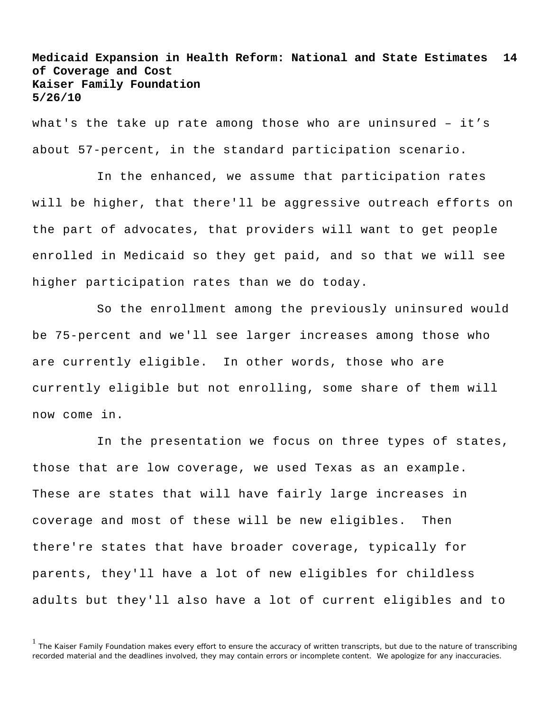what's the take up rate among those who are uninsured – it's about 57-percent, in the standard participation scenario.

In the enhanced, we assume that participation rates will be higher, that there'll be aggressive outreach efforts on the part of advocates, that providers will want to get people enrolled in Medicaid so they get paid, and so that we will see higher participation rates than we do today.

So the enrollment among the previously uninsured would be 75-percent and we'll see larger increases among those who are currently eligible. In other words, those who are currently eligible but not enrolling, some share of them will now come in.

In the presentation we focus on three types of states, those that are low coverage, we used Texas as an example. These are states that will have fairly large increases in coverage and most of these will be new eligibles. Then there're states that have broader coverage, typically for parents, they'll have a lot of new eligibles for childless adults but they'll also have a lot of current eligibles and to

<sup>&</sup>lt;sup>1</sup> The Kaiser Family Foundation makes every effort to ensure the accuracy of written transcripts, but due to the nature of transcribing recorded material and the deadlines involved, they may contain errors or incomplete content. We apologize for any inaccuracies.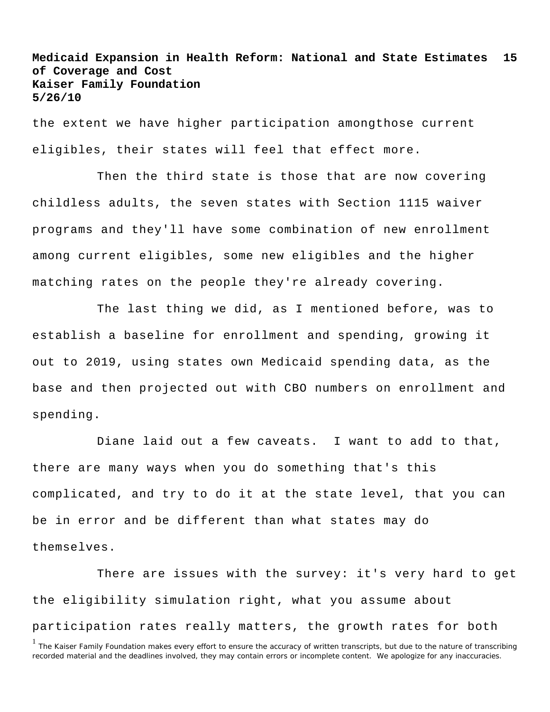the extent we have higher participation amongthose current eligibles, their states will feel that effect more.

Then the third state is those that are now covering childless adults, the seven states with Section 1115 waiver programs and they'll have some combination of new enrollment among current eligibles, some new eligibles and the higher matching rates on the people they're already covering.

The last thing we did, as I mentioned before, was to establish a baseline for enrollment and spending, growing it out to 2019, using states own Medicaid spending data, as the base and then projected out with CBO numbers on enrollment and spending.

Diane laid out a few caveats. I want to add to that, there are many ways when you do something that's this complicated, and try to do it at the state level, that you can be in error and be different than what states may do themselves.

There are issues with the survey: it's very hard to get the eligibility simulation right, what you assume about participation rates really matters, the growth rates for both

<sup>&</sup>lt;sup>1</sup> The Kaiser Family Foundation makes every effort to ensure the accuracy of written transcripts, but due to the nature of transcribing recorded material and the deadlines involved, they may contain errors or incomplete content. We apologize for any inaccuracies.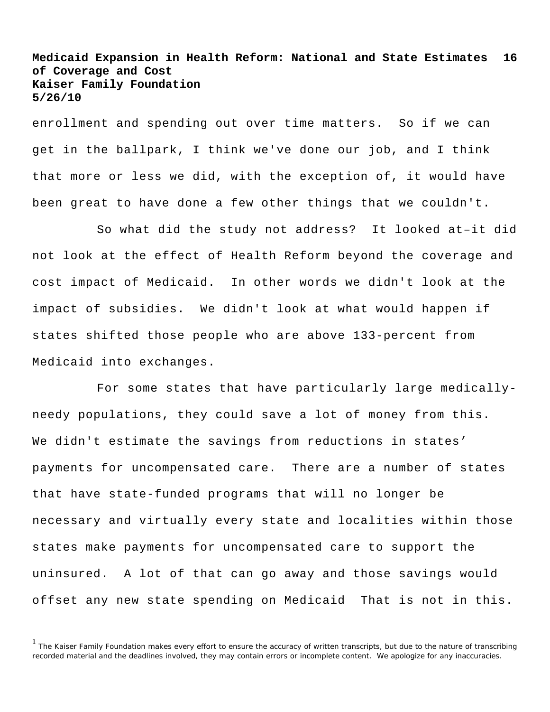enrollment and spending out over time matters. So if we can get in the ballpark, I think we've done our job, and I think that more or less we did, with the exception of, it would have been great to have done a few other things that we couldn't.

So what did the study not address? It looked at–it did not look at the effect of Health Reform beyond the coverage and cost impact of Medicaid. In other words we didn't look at the impact of subsidies. We didn't look at what would happen if states shifted those people who are above 133-percent from Medicaid into exchanges.

For some states that have particularly large medicallyneedy populations, they could save a lot of money from this. We didn't estimate the savings from reductions in states' payments for uncompensated care. There are a number of states that have state-funded programs that will no longer be necessary and virtually every state and localities within those states make payments for uncompensated care to support the uninsured. A lot of that can go away and those savings would offset any new state spending on Medicaid That is not in this.

<sup>&</sup>lt;sup>1</sup> The Kaiser Family Foundation makes every effort to ensure the accuracy of written transcripts, but due to the nature of transcribing recorded material and the deadlines involved, they may contain errors or incomplete content. We apologize for any inaccuracies.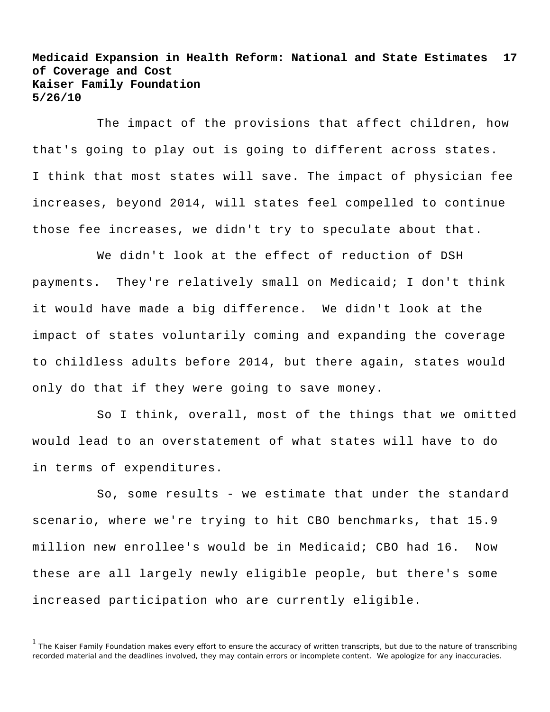The impact of the provisions that affect children, how that's going to play out is going to different across states. I think that most states will save. The impact of physician fee increases, beyond 2014, will states feel compelled to continue those fee increases, we didn't try to speculate about that.

We didn't look at the effect of reduction of DSH payments. They're relatively small on Medicaid; I don't think it would have made a big difference. We didn't look at the impact of states voluntarily coming and expanding the coverage to childless adults before 2014, but there again, states would only do that if they were going to save money.

So I think, overall, most of the things that we omitted would lead to an overstatement of what states will have to do in terms of expenditures.

So, some results - we estimate that under the standard scenario, where we're trying to hit CBO benchmarks, that 15.9 million new enrollee's would be in Medicaid; CBO had 16. Now these are all largely newly eligible people, but there's some increased participation who are currently eligible.

<sup>&</sup>lt;sup>1</sup> The Kaiser Family Foundation makes every effort to ensure the accuracy of written transcripts, but due to the nature of transcribing recorded material and the deadlines involved, they may contain errors or incomplete content. We apologize for any inaccuracies.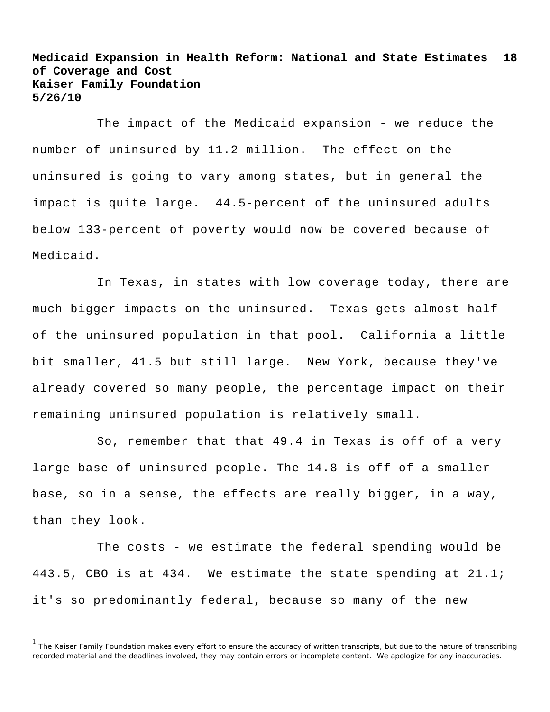The impact of the Medicaid expansion - we reduce the number of uninsured by 11.2 million. The effect on the uninsured is going to vary among states, but in general the impact is quite large. 44.5-percent of the uninsured adults below 133-percent of poverty would now be covered because of Medicaid.

In Texas, in states with low coverage today, there are much bigger impacts on the uninsured. Texas gets almost half of the uninsured population in that pool. California a little bit smaller, 41.5 but still large. New York, because they've already covered so many people, the percentage impact on their remaining uninsured population is relatively small.

So, remember that that 49.4 in Texas is off of a very large base of uninsured people. The 14.8 is off of a smaller base, so in a sense, the effects are really bigger, in a way, than they look.

The costs - we estimate the federal spending would be 443.5, CBO is at 434. We estimate the state spending at  $21.1i$ it's so predominantly federal, because so many of the new

<sup>&</sup>lt;sup>1</sup> The Kaiser Family Foundation makes every effort to ensure the accuracy of written transcripts, but due to the nature of transcribing recorded material and the deadlines involved, they may contain errors or incomplete content. We apologize for any inaccuracies.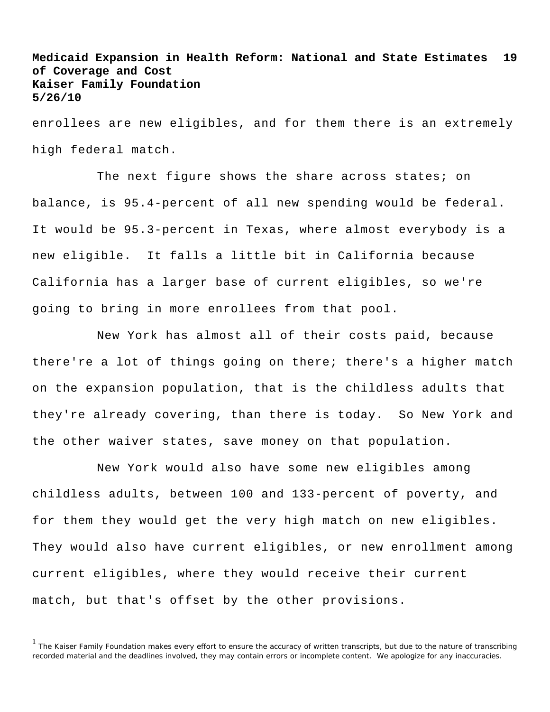enrollees are new eligibles, and for them there is an extremely high federal match.

The next figure shows the share across states; on balance, is 95.4-percent of all new spending would be federal. It would be 95.3-percent in Texas, where almost everybody is a new eligible. It falls a little bit in California because California has a larger base of current eligibles, so we're going to bring in more enrollees from that pool.

New York has almost all of their costs paid, because there're a lot of things going on there; there's a higher match on the expansion population, that is the childless adults that they're already covering, than there is today. So New York and the other waiver states, save money on that population.

New York would also have some new eligibles among childless adults, between 100 and 133-percent of poverty, and for them they would get the very high match on new eligibles. They would also have current eligibles, or new enrollment among current eligibles, where they would receive their current match, but that's offset by the other provisions.

<sup>&</sup>lt;sup>1</sup> The Kaiser Family Foundation makes every effort to ensure the accuracy of written transcripts, but due to the nature of transcribing recorded material and the deadlines involved, they may contain errors or incomplete content. We apologize for any inaccuracies.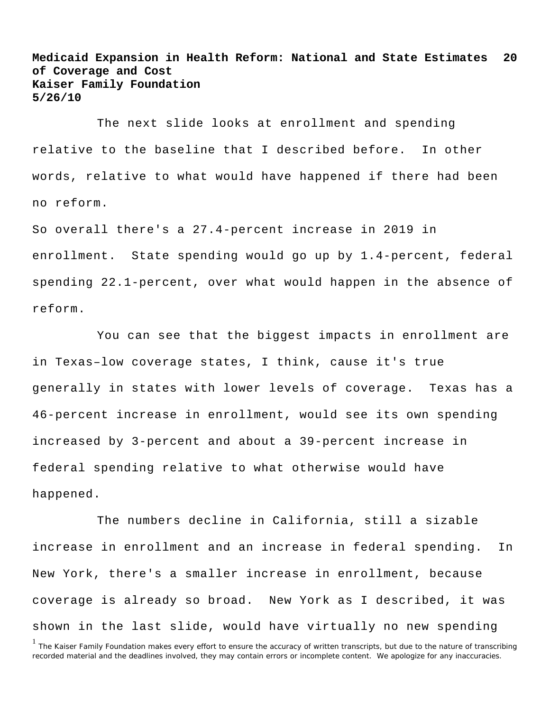The next slide looks at enrollment and spending relative to the baseline that I described before. In other words, relative to what would have happened if there had been no reform.

So overall there's a 27.4-percent increase in 2019 in enrollment. State spending would go up by 1.4-percent, federal spending 22.1-percent, over what would happen in the absence of reform.

You can see that the biggest impacts in enrollment are in Texas–low coverage states, I think, cause it's true generally in states with lower levels of coverage. Texas has a 46-percent increase in enrollment, would see its own spending increased by 3-percent and about a 39-percent increase in federal spending relative to what otherwise would have happened.

The numbers decline in California, still a sizable increase in enrollment and an increase in federal spending. In New York, there's a smaller increase in enrollment, because coverage is already so broad. New York as I described, it was shown in the last slide, would have virtually no new spending

<sup>&</sup>lt;sup>1</sup> The Kaiser Family Foundation makes every effort to ensure the accuracy of written transcripts, but due to the nature of transcribing recorded material and the deadlines involved, they may contain errors or incomplete content. We apologize for any inaccuracies.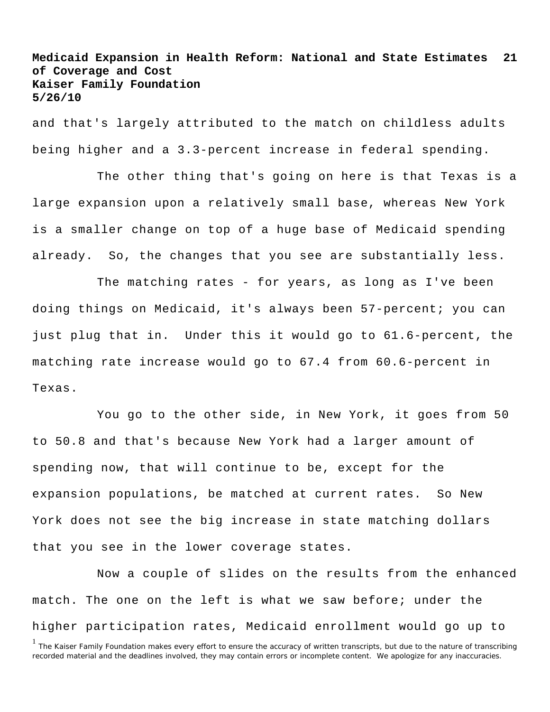and that's largely attributed to the match on childless adults being higher and a 3.3-percent increase in federal spending.

The other thing that's going on here is that Texas is a large expansion upon a relatively small base, whereas New York is a smaller change on top of a huge base of Medicaid spending already. So, the changes that you see are substantially less.

The matching rates - for years, as long as I've been doing things on Medicaid, it's always been 57-percent; you can just plug that in. Under this it would go to 61.6-percent, the matching rate increase would go to 67.4 from 60.6-percent in Texas.

You go to the other side, in New York, it goes from 50 to 50.8 and that's because New York had a larger amount of spending now, that will continue to be, except for the expansion populations, be matched at current rates. So New York does not see the big increase in state matching dollars that you see in the lower coverage states.

Now a couple of slides on the results from the enhanced match. The one on the left is what we saw before; under the higher participation rates, Medicaid enrollment would go up to

<sup>&</sup>lt;sup>1</sup> The Kaiser Family Foundation makes every effort to ensure the accuracy of written transcripts, but due to the nature of transcribing recorded material and the deadlines involved, they may contain errors or incomplete content. We apologize for any inaccuracies.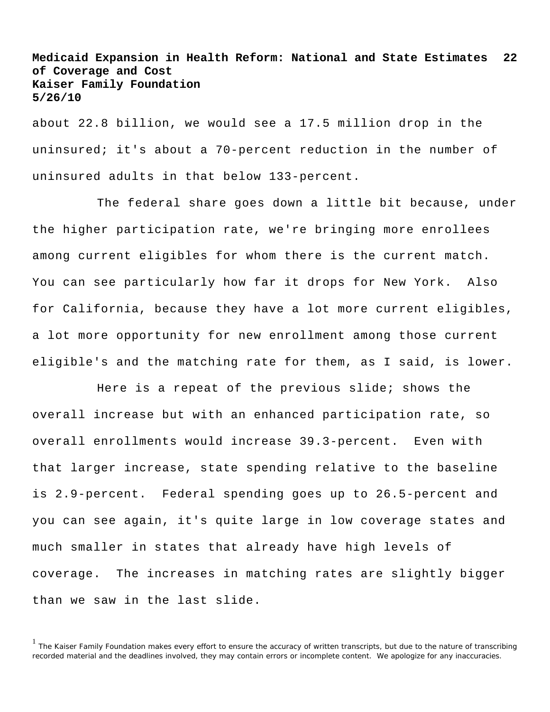about 22.8 billion, we would see a 17.5 million drop in the uninsured; it's about a 70-percent reduction in the number of uninsured adults in that below 133-percent.

The federal share goes down a little bit because, under the higher participation rate, we're bringing more enrollees among current eligibles for whom there is the current match. You can see particularly how far it drops for New York. Also for California, because they have a lot more current eligibles, a lot more opportunity for new enrollment among those current eligible's and the matching rate for them, as I said, is lower.

Here is a repeat of the previous slide; shows the overall increase but with an enhanced participation rate, so overall enrollments would increase 39.3-percent. Even with that larger increase, state spending relative to the baseline is 2.9-percent. Federal spending goes up to 26.5-percent and you can see again, it's quite large in low coverage states and much smaller in states that already have high levels of coverage. The increases in matching rates are slightly bigger than we saw in the last slide.

<sup>&</sup>lt;sup>1</sup> The Kaiser Family Foundation makes every effort to ensure the accuracy of written transcripts, but due to the nature of transcribing recorded material and the deadlines involved, they may contain errors or incomplete content. We apologize for any inaccuracies.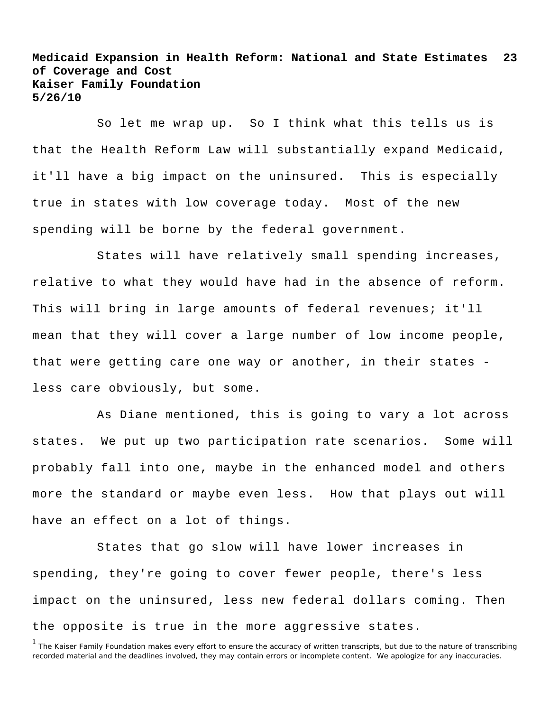So let me wrap up. So I think what this tells us is that the Health Reform Law will substantially expand Medicaid, it'll have a big impact on the uninsured. This is especially true in states with low coverage today. Most of the new spending will be borne by the federal government.

States will have relatively small spending increases, relative to what they would have had in the absence of reform. This will bring in large amounts of federal revenues; it'll mean that they will cover a large number of low income people, that were getting care one way or another, in their states less care obviously, but some.

As Diane mentioned, this is going to vary a lot across states. We put up two participation rate scenarios. Some will probably fall into one, maybe in the enhanced model and others more the standard or maybe even less. How that plays out will have an effect on a lot of things.

States that go slow will have lower increases in spending, they're going to cover fewer people, there's less impact on the uninsured, less new federal dollars coming. Then the opposite is true in the more aggressive states.

<sup>&</sup>lt;sup>1</sup> The Kaiser Family Foundation makes every effort to ensure the accuracy of written transcripts, but due to the nature of transcribing recorded material and the deadlines involved, they may contain errors or incomplete content. We apologize for any inaccuracies.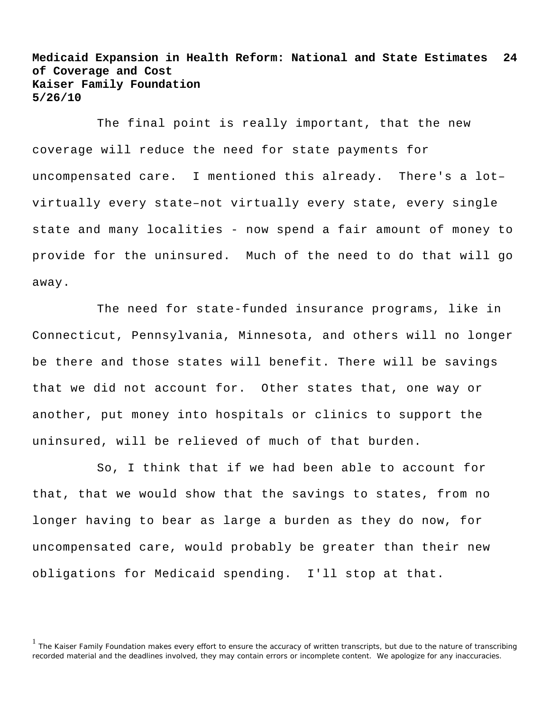The final point is really important, that the new coverage will reduce the need for state payments for uncompensated care. I mentioned this already. There's a lot– virtually every state–not virtually every state, every single state and many localities - now spend a fair amount of money to provide for the uninsured. Much of the need to do that will go away.

The need for state-funded insurance programs, like in Connecticut, Pennsylvania, Minnesota, and others will no longer be there and those states will benefit. There will be savings that we did not account for. Other states that, one way or another, put money into hospitals or clinics to support the uninsured, will be relieved of much of that burden.

So, I think that if we had been able to account for that, that we would show that the savings to states, from no longer having to bear as large a burden as they do now, for uncompensated care, would probably be greater than their new obligations for Medicaid spending. I'll stop at that.

<sup>&</sup>lt;sup>1</sup> The Kaiser Family Foundation makes every effort to ensure the accuracy of written transcripts, but due to the nature of transcribing recorded material and the deadlines involved, they may contain errors or incomplete content. We apologize for any inaccuracies.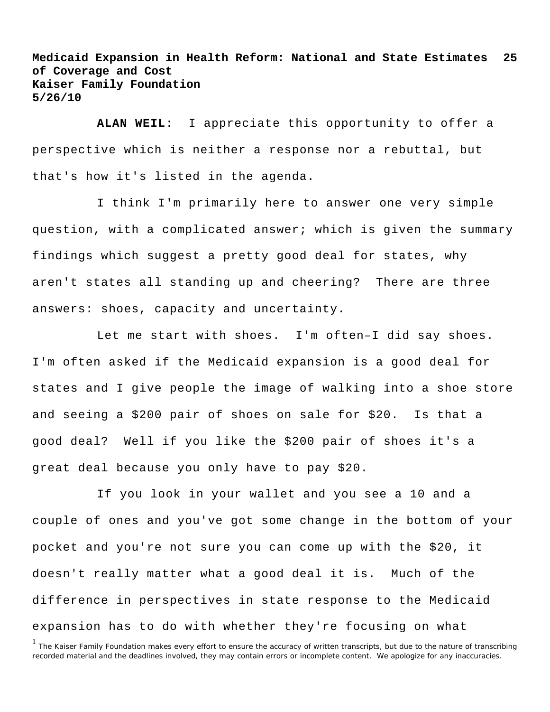**ALAN WEIL**: I appreciate this opportunity to offer a perspective which is neither a response nor a rebuttal, but that's how it's listed in the agenda.

I think I'm primarily here to answer one very simple question, with a complicated answer; which is given the summary findings which suggest a pretty good deal for states, why aren't states all standing up and cheering? There are three answers: shoes, capacity and uncertainty.

Let me start with shoes. I'm often–I did say shoes. I'm often asked if the Medicaid expansion is a good deal for states and I give people the image of walking into a shoe store and seeing a \$200 pair of shoes on sale for \$20. Is that a good deal? Well if you like the \$200 pair of shoes it's a great deal because you only have to pay \$20.

If you look in your wallet and you see a 10 and a couple of ones and you've got some change in the bottom of your pocket and you're not sure you can come up with the \$20, it doesn't really matter what a good deal it is. Much of the difference in perspectives in state response to the Medicaid expansion has to do with whether they're focusing on what

<sup>&</sup>lt;sup>1</sup> The Kaiser Family Foundation makes every effort to ensure the accuracy of written transcripts, but due to the nature of transcribing recorded material and the deadlines involved, they may contain errors or incomplete content. We apologize for any inaccuracies.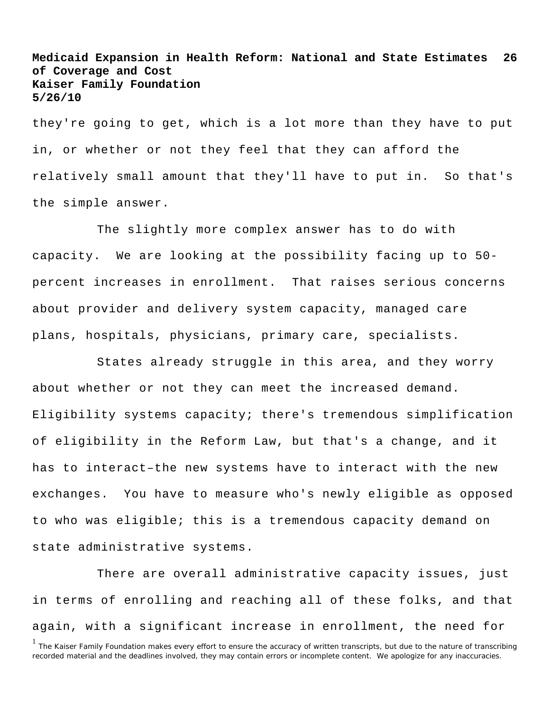they're going to get, which is a lot more than they have to put in, or whether or not they feel that they can afford the relatively small amount that they'll have to put in. So that's the simple answer.

The slightly more complex answer has to do with capacity. We are looking at the possibility facing up to 50 percent increases in enrollment. That raises serious concerns about provider and delivery system capacity, managed care plans, hospitals, physicians, primary care, specialists.

States already struggle in this area, and they worry about whether or not they can meet the increased demand. Eligibility systems capacity; there's tremendous simplification of eligibility in the Reform Law, but that's a change, and it has to interact–the new systems have to interact with the new exchanges. You have to measure who's newly eligible as opposed to who was eligible; this is a tremendous capacity demand on state administrative systems.

There are overall administrative capacity issues, just in terms of enrolling and reaching all of these folks, and that again, with a significant increase in enrollment, the need for

<sup>1</sup> The Kaiser Family Foundation makes every effort to ensure the accuracy of written transcripts, but due to the nature of transcribing recorded material and the deadlines involved, they may contain errors or incomplete content. We apologize for any inaccuracies.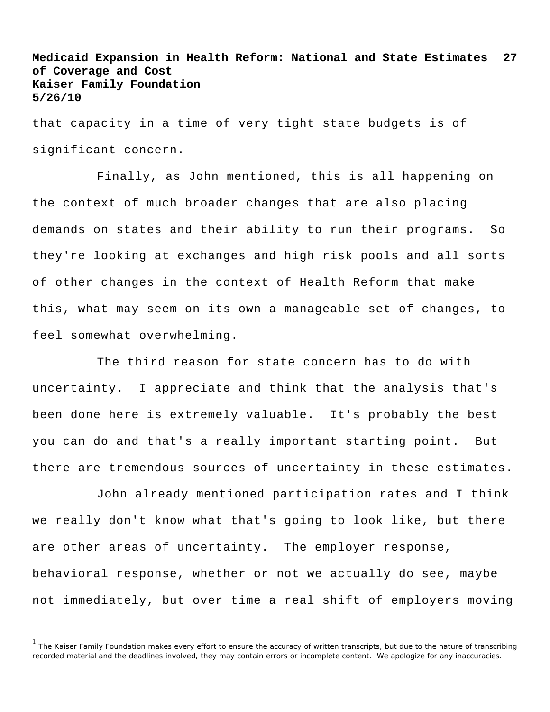that capacity in a time of very tight state budgets is of significant concern.

Finally, as John mentioned, this is all happening on the context of much broader changes that are also placing demands on states and their ability to run their programs. So they're looking at exchanges and high risk pools and all sorts of other changes in the context of Health Reform that make this, what may seem on its own a manageable set of changes, to feel somewhat overwhelming.

The third reason for state concern has to do with uncertainty. I appreciate and think that the analysis that's been done here is extremely valuable. It's probably the best you can do and that's a really important starting point. But there are tremendous sources of uncertainty in these estimates.

John already mentioned participation rates and I think we really don't know what that's going to look like, but there are other areas of uncertainty. The employer response, behavioral response, whether or not we actually do see, maybe not immediately, but over time a real shift of employers moving

<sup>&</sup>lt;sup>1</sup> The Kaiser Family Foundation makes every effort to ensure the accuracy of written transcripts, but due to the nature of transcribing recorded material and the deadlines involved, they may contain errors or incomplete content. We apologize for any inaccuracies.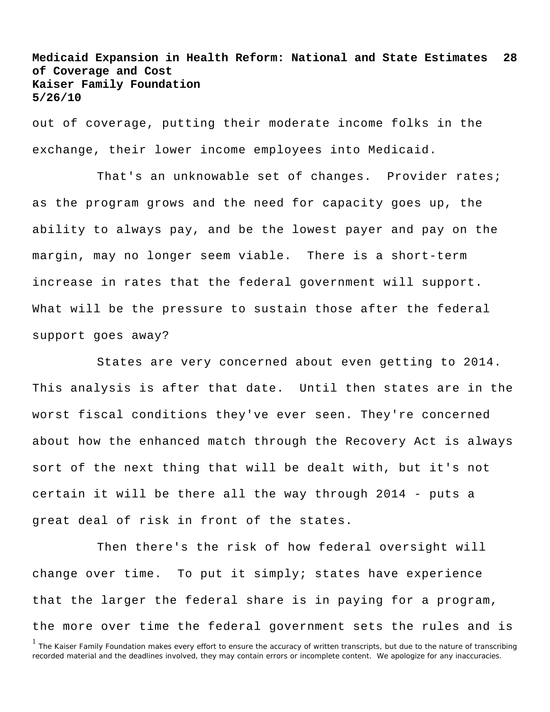out of coverage, putting their moderate income folks in the exchange, their lower income employees into Medicaid.

That's an unknowable set of changes. Provider rates; as the program grows and the need for capacity goes up, the ability to always pay, and be the lowest payer and pay on the margin, may no longer seem viable. There is a short-term increase in rates that the federal government will support. What will be the pressure to sustain those after the federal support goes away?

States are very concerned about even getting to 2014. This analysis is after that date. Until then states are in the worst fiscal conditions they've ever seen. They're concerned about how the enhanced match through the Recovery Act is always sort of the next thing that will be dealt with, but it's not certain it will be there all the way through 2014 - puts a great deal of risk in front of the states.

<sup>1</sup> The Kaiser Family Foundation makes every effort to ensure the accuracy of written transcripts, but due to the nature of transcribing recorded material and the deadlines involved, they may contain errors or incomplete content. We apologize for any inaccuracies. Then there's the risk of how federal oversight will change over time. To put it simply; states have experience that the larger the federal share is in paying for a program, the more over time the federal government sets the rules and is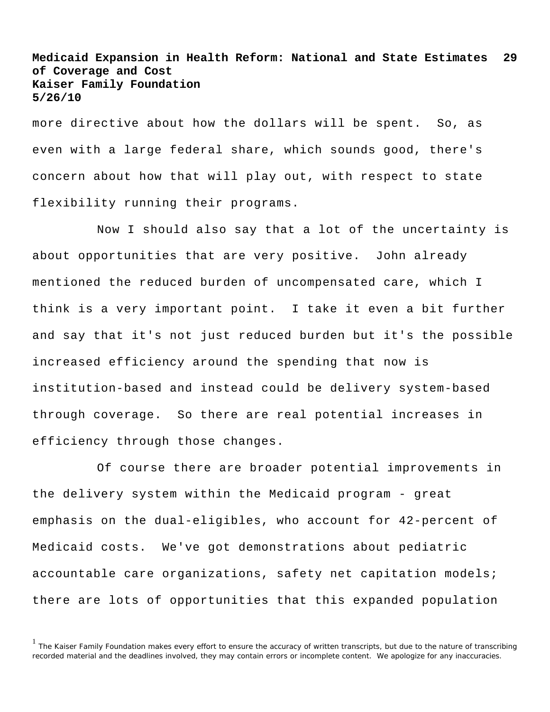more directive about how the dollars will be spent. So, as even with a large federal share, which sounds good, there's concern about how that will play out, with respect to state flexibility running their programs.

Now I should also say that a lot of the uncertainty is about opportunities that are very positive. John already mentioned the reduced burden of uncompensated care, which I think is a very important point. I take it even a bit further and say that it's not just reduced burden but it's the possible increased efficiency around the spending that now is institution-based and instead could be delivery system-based through coverage. So there are real potential increases in efficiency through those changes.

Of course there are broader potential improvements in the delivery system within the Medicaid program - great emphasis on the dual-eligibles, who account for 42-percent of Medicaid costs. We've got demonstrations about pediatric accountable care organizations, safety net capitation models; there are lots of opportunities that this expanded population

<sup>&</sup>lt;sup>1</sup> The Kaiser Family Foundation makes every effort to ensure the accuracy of written transcripts, but due to the nature of transcribing recorded material and the deadlines involved, they may contain errors or incomplete content. We apologize for any inaccuracies.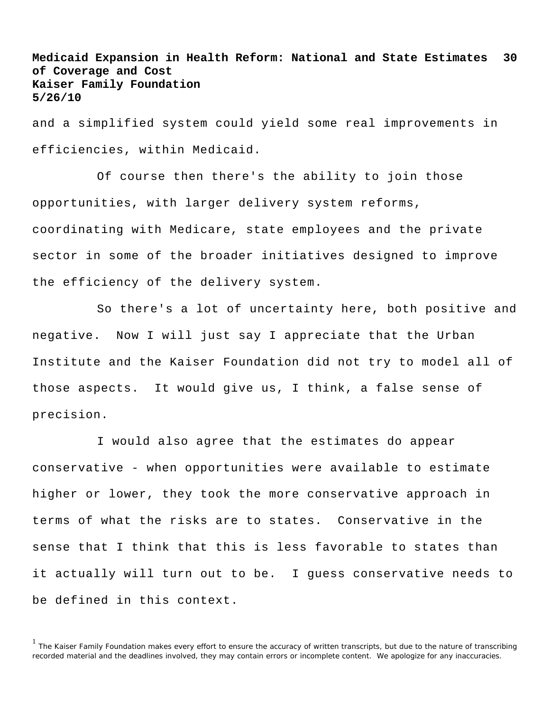and a simplified system could yield some real improvements in efficiencies, within Medicaid.

Of course then there's the ability to join those opportunities, with larger delivery system reforms, coordinating with Medicare, state employees and the private sector in some of the broader initiatives designed to improve the efficiency of the delivery system.

So there's a lot of uncertainty here, both positive and negative. Now I will just say I appreciate that the Urban Institute and the Kaiser Foundation did not try to model all of those aspects. It would give us, I think, a false sense of precision.

I would also agree that the estimates do appear conservative - when opportunities were available to estimate higher or lower, they took the more conservative approach in terms of what the risks are to states. Conservative in the sense that I think that this is less favorable to states than it actually will turn out to be. I guess conservative needs to be defined in this context.

<sup>&</sup>lt;sup>1</sup> The Kaiser Family Foundation makes every effort to ensure the accuracy of written transcripts, but due to the nature of transcribing recorded material and the deadlines involved, they may contain errors or incomplete content. We apologize for any inaccuracies.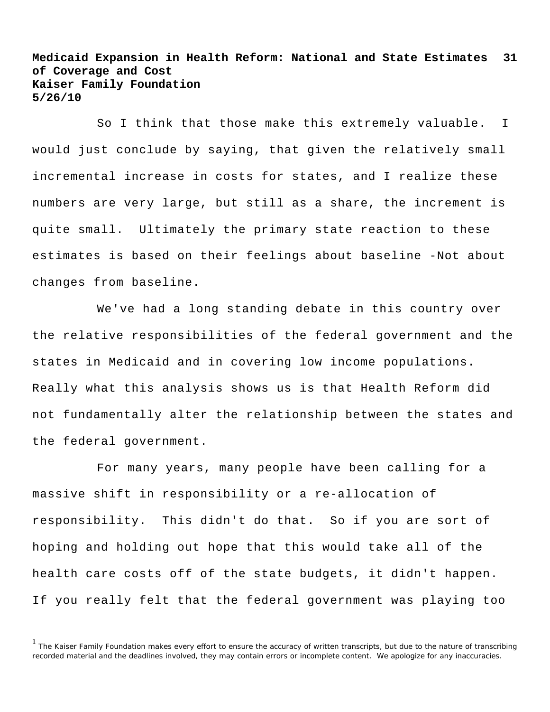So I think that those make this extremely valuable. I would just conclude by saying, that given the relatively small incremental increase in costs for states, and I realize these numbers are very large, but still as a share, the increment is quite small. Ultimately the primary state reaction to these estimates is based on their feelings about baseline -Not about changes from baseline.

We've had a long standing debate in this country over the relative responsibilities of the federal government and the states in Medicaid and in covering low income populations. Really what this analysis shows us is that Health Reform did not fundamentally alter the relationship between the states and the federal government.

For many years, many people have been calling for a massive shift in responsibility or a re-allocation of responsibility. This didn't do that. So if you are sort of hoping and holding out hope that this would take all of the health care costs off of the state budgets, it didn't happen. If you really felt that the federal government was playing too

<sup>&</sup>lt;sup>1</sup> The Kaiser Family Foundation makes every effort to ensure the accuracy of written transcripts, but due to the nature of transcribing recorded material and the deadlines involved, they may contain errors or incomplete content. We apologize for any inaccuracies.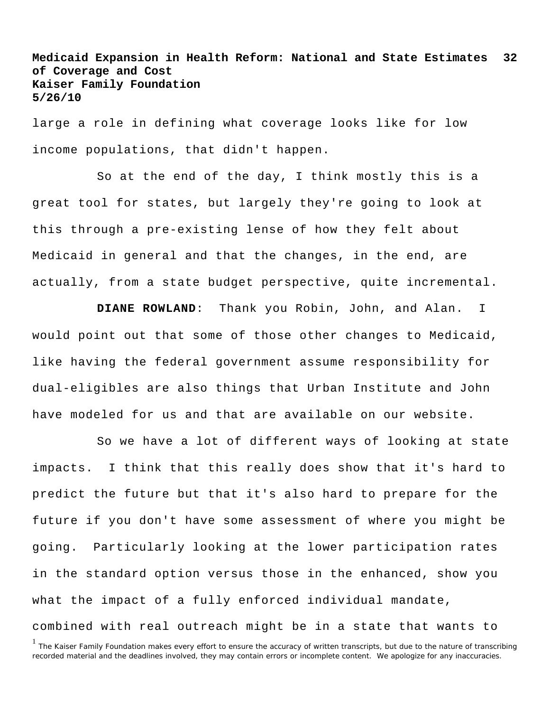large a role in defining what coverage looks like for low income populations, that didn't happen.

So at the end of the day, I think mostly this is a great tool for states, but largely they're going to look at this through a pre-existing lense of how they felt about Medicaid in general and that the changes, in the end, are actually, from a state budget perspective, quite incremental.

**DIANE ROWLAND**: Thank you Robin, John, and Alan. I would point out that some of those other changes to Medicaid, like having the federal government assume responsibility for dual-eligibles are also things that Urban Institute and John have modeled for us and that are available on our website.

So we have a lot of different ways of looking at state impacts. I think that this really does show that it's hard to predict the future but that it's also hard to prepare for the future if you don't have some assessment of where you might be going. Particularly looking at the lower participation rates in the standard option versus those in the enhanced, show you what the impact of a fully enforced individual mandate, combined with real outreach might be in a state that wants to

<sup>&</sup>lt;sup>1</sup> The Kaiser Family Foundation makes every effort to ensure the accuracy of written transcripts, but due to the nature of transcribing recorded material and the deadlines involved, they may contain errors or incomplete content. We apologize for any inaccuracies.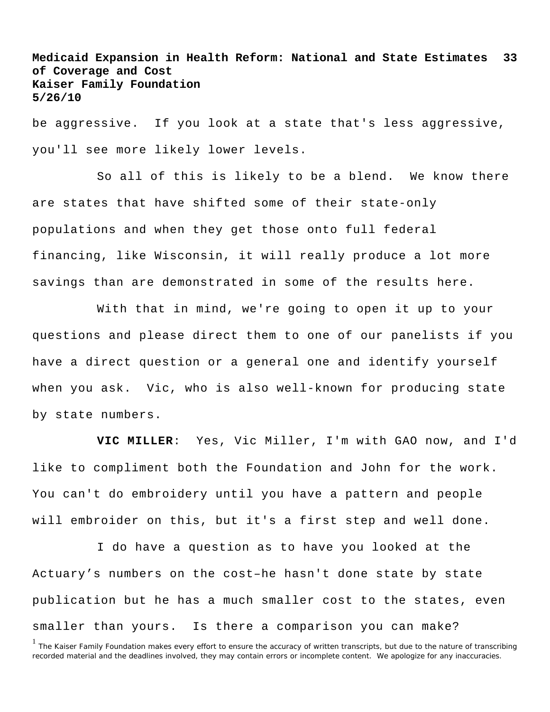be aggressive. If you look at a state that's less aggressive, you'll see more likely lower levels.

So all of this is likely to be a blend. We know there are states that have shifted some of their state-only populations and when they get those onto full federal financing, like Wisconsin, it will really produce a lot more savings than are demonstrated in some of the results here.

With that in mind, we're going to open it up to your questions and please direct them to one of our panelists if you have a direct question or a general one and identify yourself when you ask. Vic, who is also well-known for producing state by state numbers.

**VIC MILLER**: Yes, Vic Miller, I'm with GAO now, and I'd like to compliment both the Foundation and John for the work. You can't do embroidery until you have a pattern and people will embroider on this, but it's a first step and well done.

I do have a question as to have you looked at the Actuary's numbers on the cost–he hasn't done state by state publication but he has a much smaller cost to the states, even smaller than yours. Is there a comparison you can make?

<sup>&</sup>lt;sup>1</sup> The Kaiser Family Foundation makes every effort to ensure the accuracy of written transcripts, but due to the nature of transcribing recorded material and the deadlines involved, they may contain errors or incomplete content. We apologize for any inaccuracies.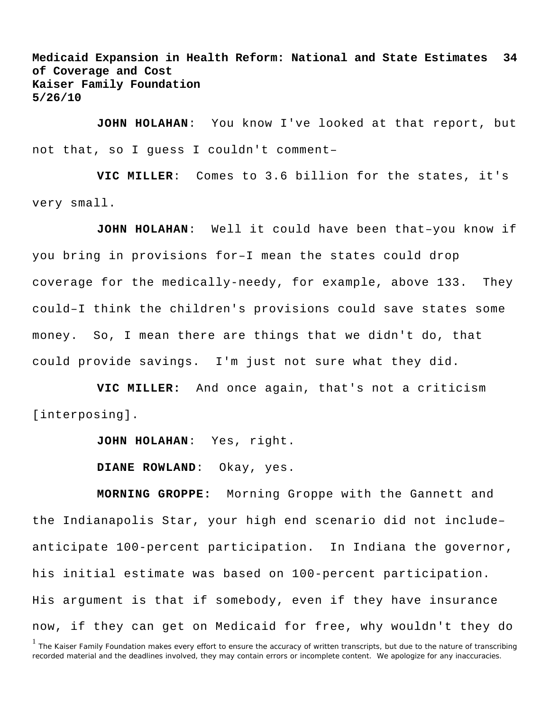**JOHN HOLAHAN**: You know I've looked at that report, but not that, so I guess I couldn't comment–

**VIC MILLER**: Comes to 3.6 billion for the states, it's very small.

**JOHN HOLAHAN**: Well it could have been that–you know if you bring in provisions for–I mean the states could drop coverage for the medically-needy, for example, above 133. They could–I think the children's provisions could save states some money. So, I mean there are things that we didn't do, that could provide savings. I'm just not sure what they did.

**VIC MILLER:** And once again, that's not a criticism [interposing].

**JOHN HOLAHAN**: Yes, right.

**DIANE ROWLAND**: Okay, yes.

**MORNING GROPPE:** Morning Groppe with the Gannett and the Indianapolis Star, your high end scenario did not include– anticipate 100-percent participation. In Indiana the governor, his initial estimate was based on 100-percent participation. His argument is that if somebody, even if they have insurance now, if they can get on Medicaid for free, why wouldn't they do

<sup>&</sup>lt;sup>1</sup> The Kaiser Family Foundation makes every effort to ensure the accuracy of written transcripts, but due to the nature of transcribing recorded material and the deadlines involved, they may contain errors or incomplete content. We apologize for any inaccuracies.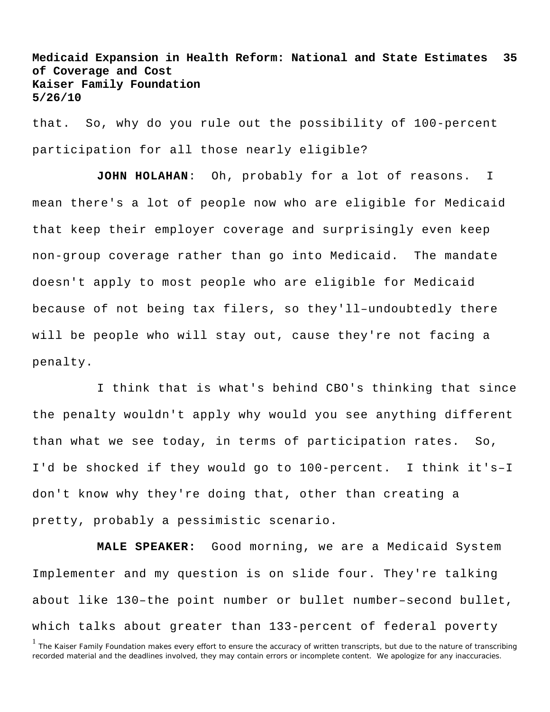that. So, why do you rule out the possibility of 100-percent participation for all those nearly eligible?

**JOHN HOLAHAN**: Oh, probably for a lot of reasons. I mean there's a lot of people now who are eligible for Medicaid that keep their employer coverage and surprisingly even keep non-group coverage rather than go into Medicaid. The mandate doesn't apply to most people who are eligible for Medicaid because of not being tax filers, so they'll–undoubtedly there will be people who will stay out, cause they're not facing a penalty.

I think that is what's behind CBO's thinking that since the penalty wouldn't apply why would you see anything different than what we see today, in terms of participation rates. So, I'd be shocked if they would go to 100-percent. I think it's–I don't know why they're doing that, other than creating a pretty, probably a pessimistic scenario.

**MALE SPEAKER:** Good morning, we are a Medicaid System Implementer and my question is on slide four. They're talking about like 130–the point number or bullet number–second bullet, which talks about greater than 133-percent of federal poverty

<sup>&</sup>lt;sup>1</sup> The Kaiser Family Foundation makes every effort to ensure the accuracy of written transcripts, but due to the nature of transcribing recorded material and the deadlines involved, they may contain errors or incomplete content. We apologize for any inaccuracies.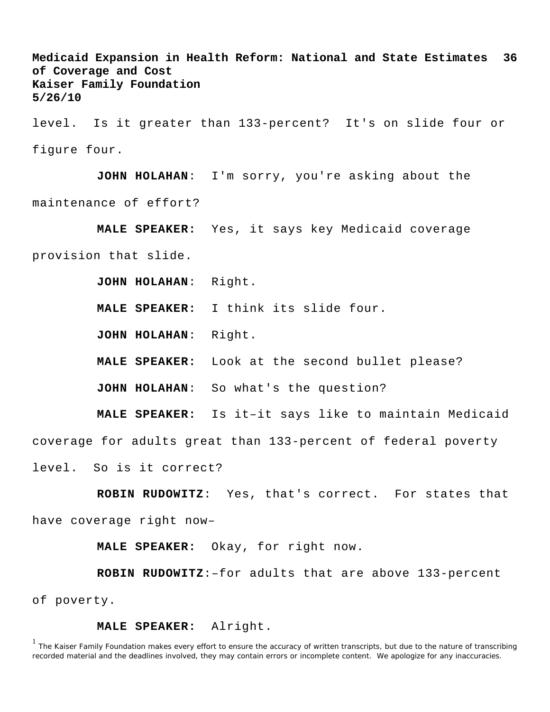level. Is it greater than 133-percent? It's on slide four or figure four.

**JOHN HOLAHAN**: I'm sorry, you're asking about the maintenance of effort?

**MALE SPEAKER:** Yes, it says key Medicaid coverage

provision that slide.

**JOHN HOLAHAN**: Right.

**MALE SPEAKER:** I think its slide four.

**JOHN HOLAHAN**: Right.

**MALE SPEAKER:** Look at the second bullet please?

**JOHN HOLAHAN**: So what's the question?

**MALE SPEAKER:** Is it–it says like to maintain Medicaid

coverage for adults great than 133-percent of federal poverty

level. So is it correct?

**ROBIN RUDOWITZ**: Yes, that's correct. For states that have coverage right now–

**MALE SPEAKER:** Okay, for right now.

**ROBIN RUDOWITZ**:–for adults that are above 133-percent of poverty.

**MALE SPEAKER:** Alright.

<sup>1</sup> The Kaiser Family Foundation makes every effort to ensure the accuracy of written transcripts, but due to the nature of transcribing recorded material and the deadlines involved, they may contain errors or incomplete content. We apologize for any inaccuracies.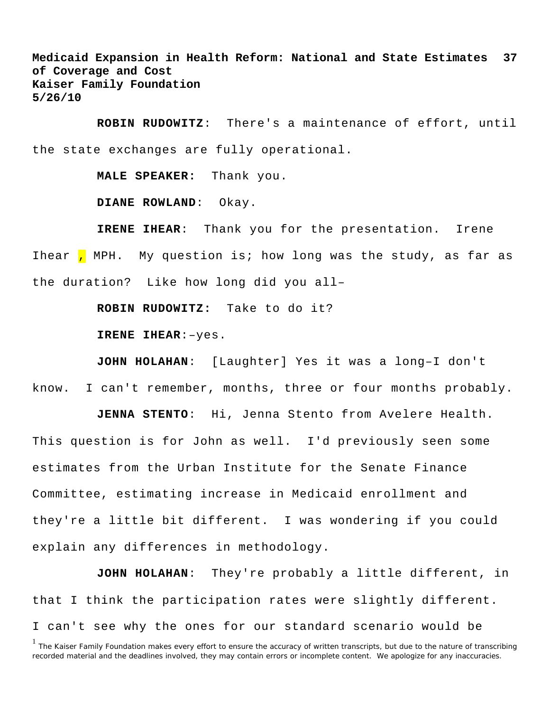**ROBIN RUDOWITZ**: There's a maintenance of effort, until the state exchanges are fully operational.

**MALE SPEAKER:** Thank you.

**DIANE ROWLAND**: Okay.

**IRENE IHEAR**: Thank you for the presentation. Irene Ihear , MPH. My question is; how long was the study, as far as the duration? Like how long did you all–

**ROBIN RUDOWITZ:** Take to do it?

**IRENE IHEAR**:–yes.

**JOHN HOLAHAN**: [Laughter] Yes it was a long–I don't know. I can't remember, months, three or four months probably.

**JENNA STENTO**: Hi, Jenna Stento from Avelere Health. This question is for John as well. I'd previously seen some estimates from the Urban Institute for the Senate Finance Committee, estimating increase in Medicaid enrollment and they're a little bit different. I was wondering if you could explain any differences in methodology.

**JOHN HOLAHAN**: They're probably a little different, in that I think the participation rates were slightly different. I can't see why the ones for our standard scenario would be

<sup>&</sup>lt;sup>1</sup> The Kaiser Family Foundation makes every effort to ensure the accuracy of written transcripts, but due to the nature of transcribing recorded material and the deadlines involved, they may contain errors or incomplete content. We apologize for any inaccuracies.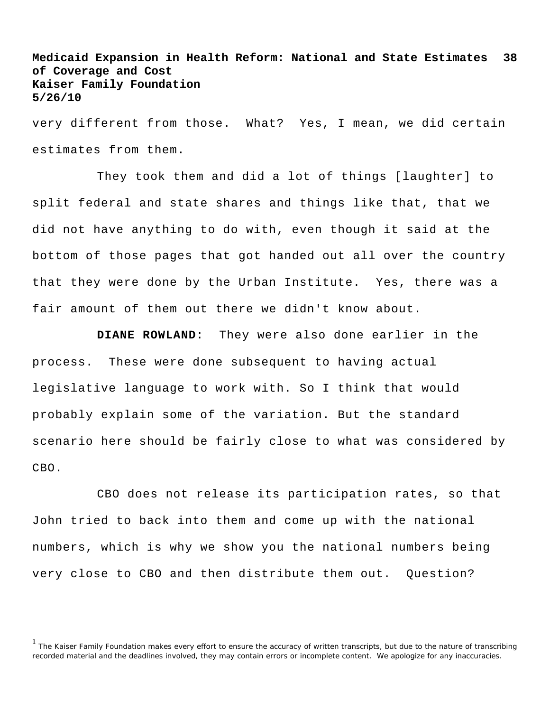very different from those. What? Yes, I mean, we did certain estimates from them.

They took them and did a lot of things [laughter] to split federal and state shares and things like that, that we did not have anything to do with, even though it said at the bottom of those pages that got handed out all over the country that they were done by the Urban Institute. Yes, there was a fair amount of them out there we didn't know about.

**DIANE ROWLAND**: They were also done earlier in the process. These were done subsequent to having actual legislative language to work with. So I think that would probably explain some of the variation. But the standard scenario here should be fairly close to what was considered by CBO.

CBO does not release its participation rates, so that John tried to back into them and come up with the national numbers, which is why we show you the national numbers being very close to CBO and then distribute them out. Question?

<sup>&</sup>lt;sup>1</sup> The Kaiser Family Foundation makes every effort to ensure the accuracy of written transcripts, but due to the nature of transcribing recorded material and the deadlines involved, they may contain errors or incomplete content. We apologize for any inaccuracies.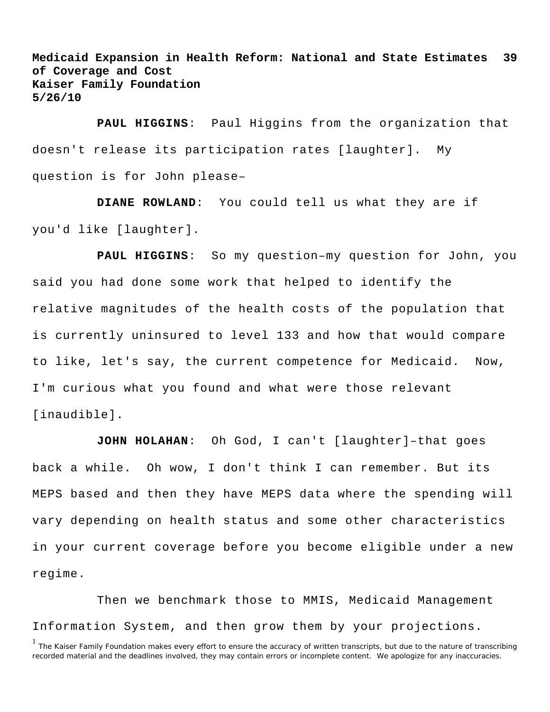**PAUL HIGGINS**: Paul Higgins from the organization that doesn't release its participation rates [laughter]. My question is for John please–

**DIANE ROWLAND**: You could tell us what they are if you'd like [laughter].

**PAUL HIGGINS**: So my question–my question for John, you said you had done some work that helped to identify the relative magnitudes of the health costs of the population that is currently uninsured to level 133 and how that would compare to like, let's say, the current competence for Medicaid. Now, I'm curious what you found and what were those relevant [inaudible].

**JOHN HOLAHAN**: Oh God, I can't [laughter]–that goes back a while. Oh wow, I don't think I can remember. But its MEPS based and then they have MEPS data where the spending will vary depending on health status and some other characteristics in your current coverage before you become eligible under a new regime.

Then we benchmark those to MMIS, Medicaid Management Information System, and then grow them by your projections.

<sup>&</sup>lt;sup>1</sup> The Kaiser Family Foundation makes every effort to ensure the accuracy of written transcripts, but due to the nature of transcribing recorded material and the deadlines involved, they may contain errors or incomplete content. We apologize for any inaccuracies.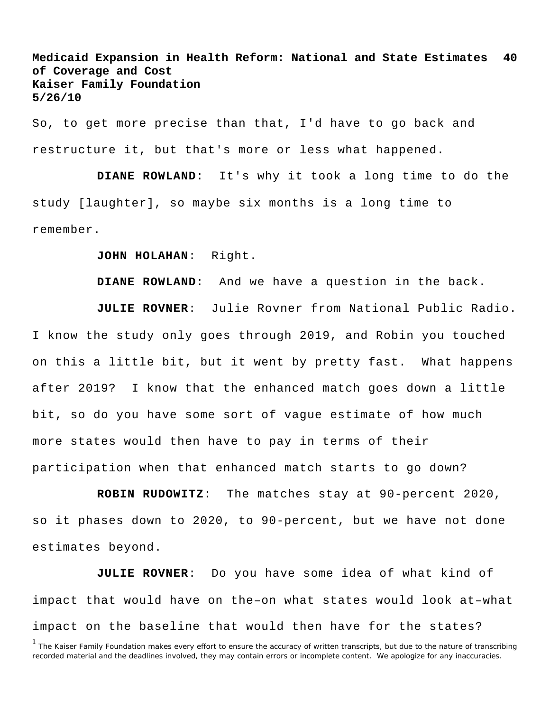So, to get more precise than that, I'd have to go back and restructure it, but that's more or less what happened.

**DIANE ROWLAND**: It's why it took a long time to do the study [laughter], so maybe six months is a long time to remember.

## **JOHN HOLAHAN**: Right.

**DIANE ROWLAND**: And we have a question in the back.

**JULIE ROVNER**: Julie Rovner from National Public Radio. I know the study only goes through 2019, and Robin you touched on this a little bit, but it went by pretty fast. What happens after 2019? I know that the enhanced match goes down a little bit, so do you have some sort of vague estimate of how much more states would then have to pay in terms of their participation when that enhanced match starts to go down?

**ROBIN RUDOWITZ**: The matches stay at 90-percent 2020, so it phases down to 2020, to 90-percent, but we have not done estimates beyond.

**JULIE ROVNER**: Do you have some idea of what kind of impact that would have on the–on what states would look at–what impact on the baseline that would then have for the states?

<sup>&</sup>lt;sup>1</sup> The Kaiser Family Foundation makes every effort to ensure the accuracy of written transcripts, but due to the nature of transcribing recorded material and the deadlines involved, they may contain errors or incomplete content. We apologize for any inaccuracies.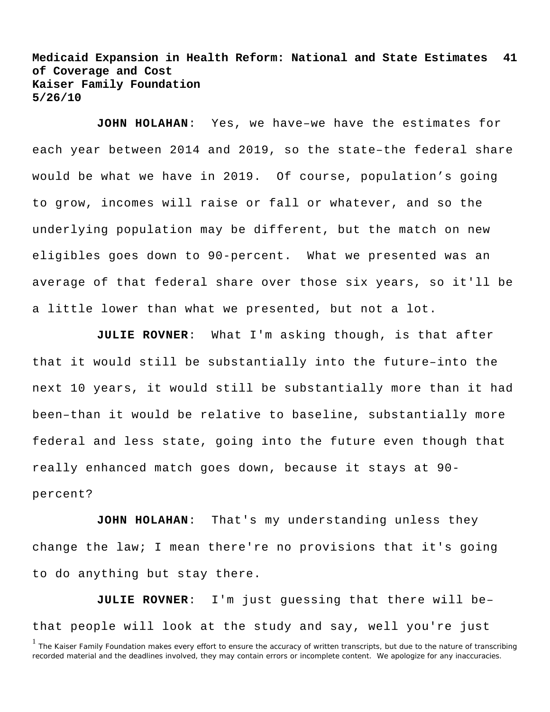**JOHN HOLAHAN**: Yes, we have–we have the estimates for each year between 2014 and 2019, so the state–the federal share would be what we have in 2019. Of course, population's going to grow, incomes will raise or fall or whatever, and so the underlying population may be different, but the match on new eligibles goes down to 90-percent. What we presented was an average of that federal share over those six years, so it'll be a little lower than what we presented, but not a lot.

**JULIE ROVNER**: What I'm asking though, is that after that it would still be substantially into the future–into the next 10 years, it would still be substantially more than it had been–than it would be relative to baseline, substantially more federal and less state, going into the future even though that really enhanced match goes down, because it stays at 90 percent?

**JOHN HOLAHAN**: That's my understanding unless they change the law; I mean there're no provisions that it's going to do anything but stay there.

**JULIE ROVNER**: I'm just guessing that there will be– that people will look at the study and say, well you're just

<sup>&</sup>lt;sup>1</sup> The Kaiser Family Foundation makes every effort to ensure the accuracy of written transcripts, but due to the nature of transcribing recorded material and the deadlines involved, they may contain errors or incomplete content. We apologize for any inaccuracies.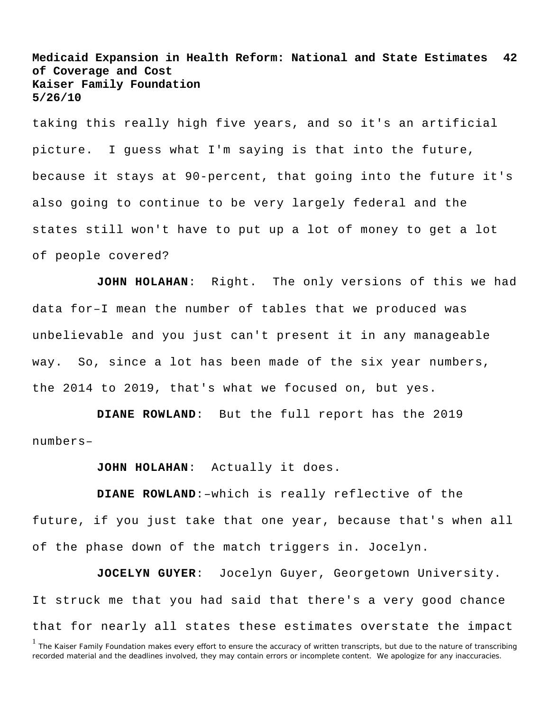taking this really high five years, and so it's an artificial picture. I guess what I'm saying is that into the future, because it stays at 90-percent, that going into the future it's also going to continue to be very largely federal and the states still won't have to put up a lot of money to get a lot of people covered?

**JOHN HOLAHAN**: Right. The only versions of this we had data for–I mean the number of tables that we produced was unbelievable and you just can't present it in any manageable way. So, since a lot has been made of the six year numbers, the 2014 to 2019, that's what we focused on, but yes.

**DIANE ROWLAND**: But the full report has the 2019 numbers–

**JOHN HOLAHAN**: Actually it does.

**DIANE ROWLAND**:–which is really reflective of the future, if you just take that one year, because that's when all of the phase down of the match triggers in. Jocelyn.

**JOCELYN GUYER**: Jocelyn Guyer, Georgetown University. It struck me that you had said that there's a very good chance that for nearly all states these estimates overstate the impact

<sup>&</sup>lt;sup>1</sup> The Kaiser Family Foundation makes every effort to ensure the accuracy of written transcripts, but due to the nature of transcribing recorded material and the deadlines involved, they may contain errors or incomplete content. We apologize for any inaccuracies.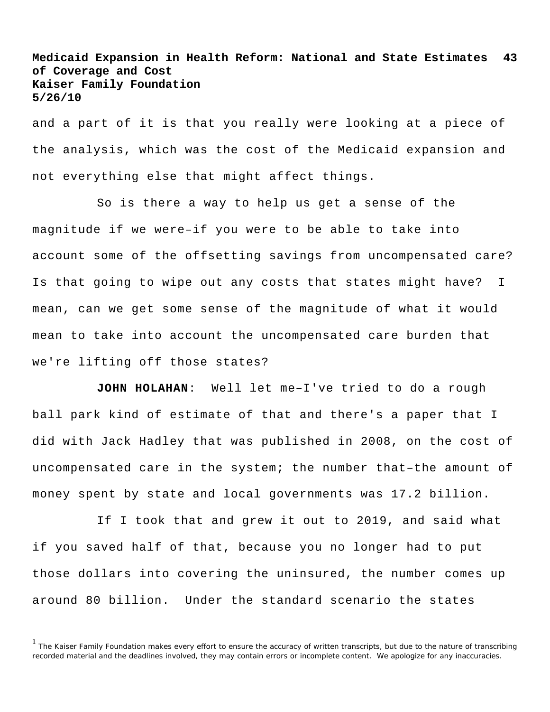and a part of it is that you really were looking at a piece of the analysis, which was the cost of the Medicaid expansion and not everything else that might affect things.

So is there a way to help us get a sense of the magnitude if we were–if you were to be able to take into account some of the offsetting savings from uncompensated care? Is that going to wipe out any costs that states might have? I mean, can we get some sense of the magnitude of what it would mean to take into account the uncompensated care burden that we're lifting off those states?

**JOHN HOLAHAN**: Well let me–I've tried to do a rough ball park kind of estimate of that and there's a paper that I did with Jack Hadley that was published in 2008, on the cost of uncompensated care in the system; the number that–the amount of money spent by state and local governments was 17.2 billion.

If I took that and grew it out to 2019, and said what if you saved half of that, because you no longer had to put those dollars into covering the uninsured, the number comes up around 80 billion. Under the standard scenario the states

<sup>&</sup>lt;sup>1</sup> The Kaiser Family Foundation makes every effort to ensure the accuracy of written transcripts, but due to the nature of transcribing recorded material and the deadlines involved, they may contain errors or incomplete content. We apologize for any inaccuracies.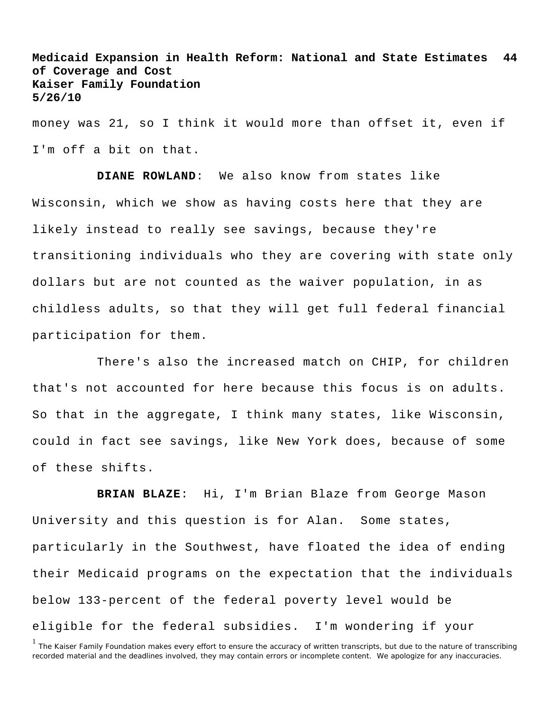money was 21, so I think it would more than offset it, even if I'm off a bit on that.

**DIANE ROWLAND**: We also know from states like Wisconsin, which we show as having costs here that they are likely instead to really see savings, because they're transitioning individuals who they are covering with state only dollars but are not counted as the waiver population, in as childless adults, so that they will get full federal financial participation for them.

There's also the increased match on CHIP, for children that's not accounted for here because this focus is on adults. So that in the aggregate, I think many states, like Wisconsin, could in fact see savings, like New York does, because of some of these shifts.

**BRIAN BLAZE**: Hi, I'm Brian Blaze from George Mason University and this question is for Alan. Some states, particularly in the Southwest, have floated the idea of ending their Medicaid programs on the expectation that the individuals below 133-percent of the federal poverty level would be eligible for the federal subsidies. I'm wondering if your

<sup>&</sup>lt;sup>1</sup> The Kaiser Family Foundation makes every effort to ensure the accuracy of written transcripts, but due to the nature of transcribing recorded material and the deadlines involved, they may contain errors or incomplete content. We apologize for any inaccuracies.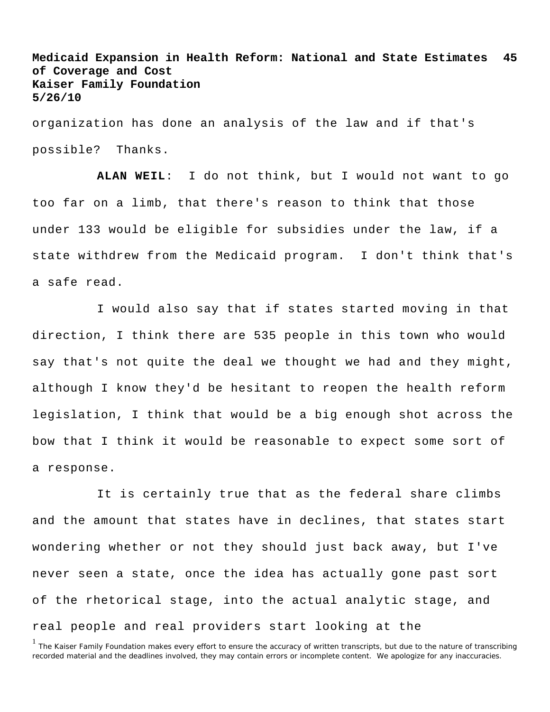organization has done an analysis of the law and if that's possible? Thanks.

**ALAN WEIL**: I do not think, but I would not want to go too far on a limb, that there's reason to think that those under 133 would be eligible for subsidies under the law, if a state withdrew from the Medicaid program. I don't think that's a safe read.

I would also say that if states started moving in that direction, I think there are 535 people in this town who would say that's not quite the deal we thought we had and they might, although I know they'd be hesitant to reopen the health reform legislation, I think that would be a big enough shot across the bow that I think it would be reasonable to expect some sort of a response.

It is certainly true that as the federal share climbs and the amount that states have in declines, that states start wondering whether or not they should just back away, but I've never seen a state, once the idea has actually gone past sort of the rhetorical stage, into the actual analytic stage, and real people and real providers start looking at the

<sup>&</sup>lt;sup>1</sup> The Kaiser Family Foundation makes every effort to ensure the accuracy of written transcripts, but due to the nature of transcribing recorded material and the deadlines involved, they may contain errors or incomplete content. We apologize for any inaccuracies.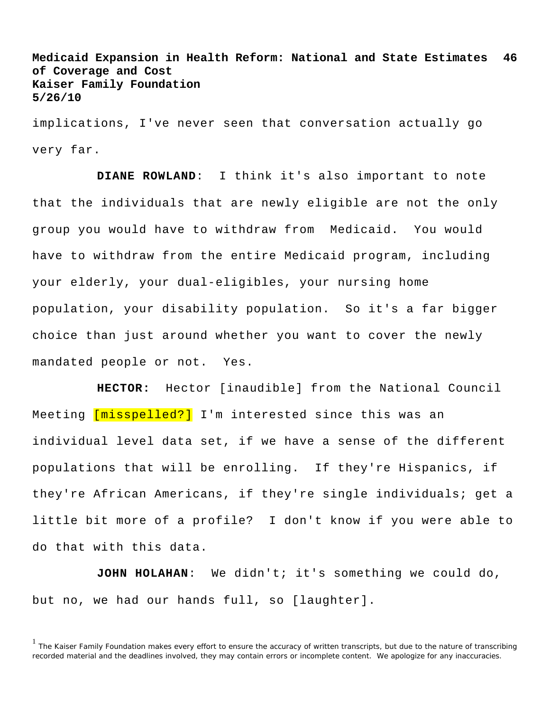implications, I've never seen that conversation actually go very far.

**DIANE ROWLAND**: I think it's also important to note that the individuals that are newly eligible are not the only group you would have to withdraw from Medicaid. You would have to withdraw from the entire Medicaid program, including your elderly, your dual-eligibles, your nursing home population, your disability population. So it's a far bigger choice than just around whether you want to cover the newly mandated people or not. Yes.

**HECTOR:** Hector [inaudible] from the National Council Meeting [misspelled?] I'm interested since this was an individual level data set, if we have a sense of the different populations that will be enrolling. If they're Hispanics, if they're African Americans, if they're single individuals; get a little bit more of a profile? I don't know if you were able to do that with this data.

**JOHN HOLAHAN**: We didn't; it's something we could do, but no, we had our hands full, so [laughter].

<sup>&</sup>lt;sup>1</sup> The Kaiser Family Foundation makes every effort to ensure the accuracy of written transcripts, but due to the nature of transcribing recorded material and the deadlines involved, they may contain errors or incomplete content. We apologize for any inaccuracies.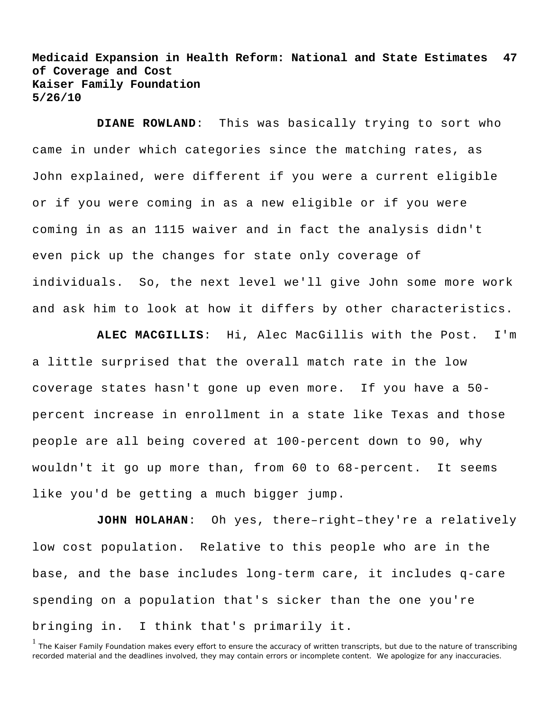**DIANE ROWLAND**: This was basically trying to sort who came in under which categories since the matching rates, as John explained, were different if you were a current eligible or if you were coming in as a new eligible or if you were coming in as an 1115 waiver and in fact the analysis didn't even pick up the changes for state only coverage of individuals. So, the next level we'll give John some more work and ask him to look at how it differs by other characteristics.

**ALEC MACGILLIS**: Hi, Alec MacGillis with the Post. I'm a little surprised that the overall match rate in the low coverage states hasn't gone up even more. If you have a 50 percent increase in enrollment in a state like Texas and those people are all being covered at 100-percent down to 90, why wouldn't it go up more than, from 60 to 68-percent. It seems like you'd be getting a much bigger jump.

**JOHN HOLAHAN**: Oh yes, there–right–they're a relatively low cost population. Relative to this people who are in the base, and the base includes long-term care, it includes q-care spending on a population that's sicker than the one you're bringing in. I think that's primarily it.

<sup>&</sup>lt;sup>1</sup> The Kaiser Family Foundation makes every effort to ensure the accuracy of written transcripts, but due to the nature of transcribing recorded material and the deadlines involved, they may contain errors or incomplete content. We apologize for any inaccuracies.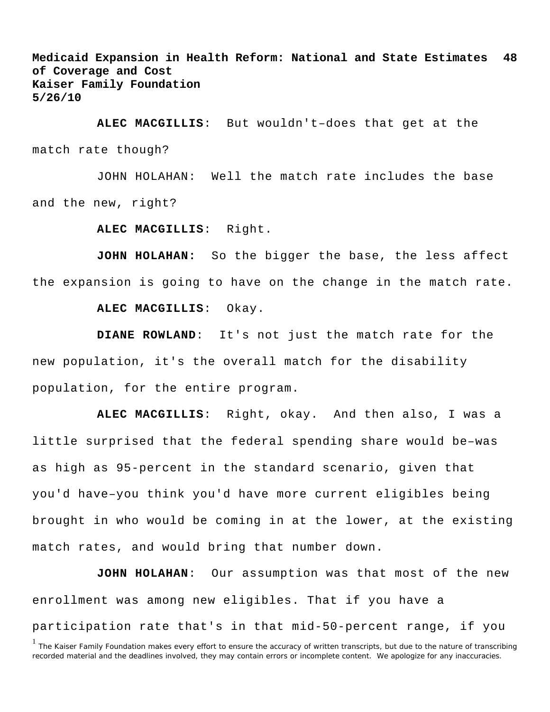**ALEC MACGILLIS**: But wouldn't–does that get at the match rate though?

JOHN HOLAHAN: Well the match rate includes the base and the new, right?

**ALEC MACGILLIS**: Right.

**JOHN HOLAHAN:** So the bigger the base, the less affect the expansion is going to have on the change in the match rate.

**ALEC MACGILLIS**: Okay.

**DIANE ROWLAND**: It's not just the match rate for the new population, it's the overall match for the disability population, for the entire program.

**ALEC MACGILLIS**: Right, okay. And then also, I was a little surprised that the federal spending share would be–was as high as 95-percent in the standard scenario, given that you'd have–you think you'd have more current eligibles being brought in who would be coming in at the lower, at the existing match rates, and would bring that number down.

**JOHN HOLAHAN**: Our assumption was that most of the new enrollment was among new eligibles. That if you have a participation rate that's in that mid-50-percent range, if you

<sup>&</sup>lt;sup>1</sup> The Kaiser Family Foundation makes every effort to ensure the accuracy of written transcripts, but due to the nature of transcribing recorded material and the deadlines involved, they may contain errors or incomplete content. We apologize for any inaccuracies.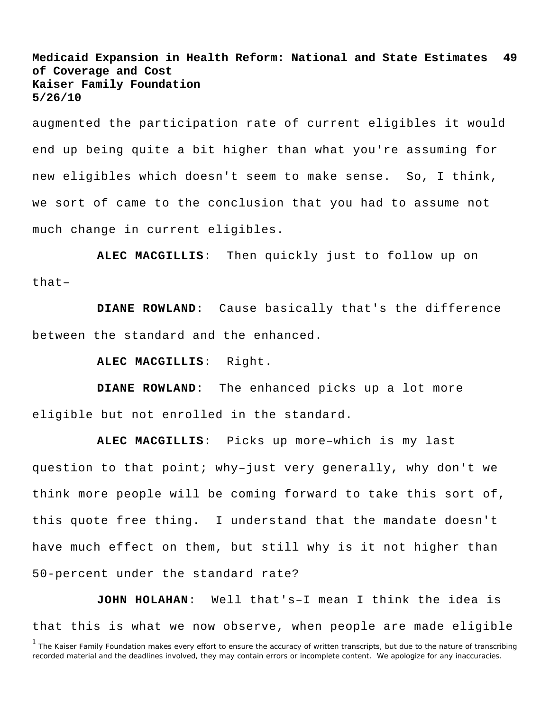augmented the participation rate of current eligibles it would end up being quite a bit higher than what you're assuming for new eligibles which doesn't seem to make sense. So, I think, we sort of came to the conclusion that you had to assume not much change in current eligibles.

**ALEC MACGILLIS**: Then quickly just to follow up on that–

**DIANE ROWLAND**: Cause basically that's the difference between the standard and the enhanced.

**ALEC MACGILLIS**: Right.

**DIANE ROWLAND**: The enhanced picks up a lot more eligible but not enrolled in the standard.

**ALEC MACGILLIS**: Picks up more–which is my last question to that point; why–just very generally, why don't we think more people will be coming forward to take this sort of, this quote free thing. I understand that the mandate doesn't have much effect on them, but still why is it not higher than 50-percent under the standard rate?

**JOHN HOLAHAN**: Well that's–I mean I think the idea is that this is what we now observe, when people are made eligible

<sup>&</sup>lt;sup>1</sup> The Kaiser Family Foundation makes every effort to ensure the accuracy of written transcripts, but due to the nature of transcribing recorded material and the deadlines involved, they may contain errors or incomplete content. We apologize for any inaccuracies.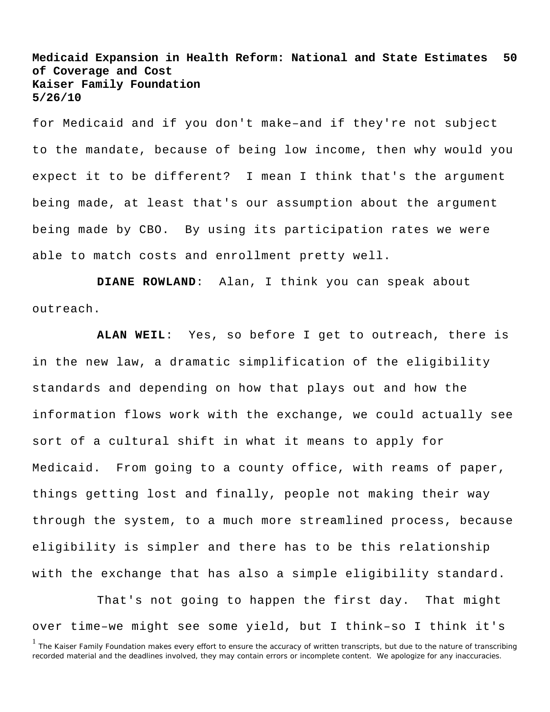for Medicaid and if you don't make–and if they're not subject to the mandate, because of being low income, then why would you expect it to be different? I mean I think that's the argument being made, at least that's our assumption about the argument being made by CBO. By using its participation rates we were able to match costs and enrollment pretty well.

**DIANE ROWLAND**: Alan, I think you can speak about outreach.

**ALAN WEIL**: Yes, so before I get to outreach, there is in the new law, a dramatic simplification of the eligibility standards and depending on how that plays out and how the information flows work with the exchange, we could actually see sort of a cultural shift in what it means to apply for Medicaid. From going to a county office, with reams of paper, things getting lost and finally, people not making their way through the system, to a much more streamlined process, because eligibility is simpler and there has to be this relationship with the exchange that has also a simple eligibility standard.

That's not going to happen the first day. That might over time–we might see some yield, but I think–so I think it's

<sup>&</sup>lt;sup>1</sup> The Kaiser Family Foundation makes every effort to ensure the accuracy of written transcripts, but due to the nature of transcribing recorded material and the deadlines involved, they may contain errors or incomplete content. We apologize for any inaccuracies.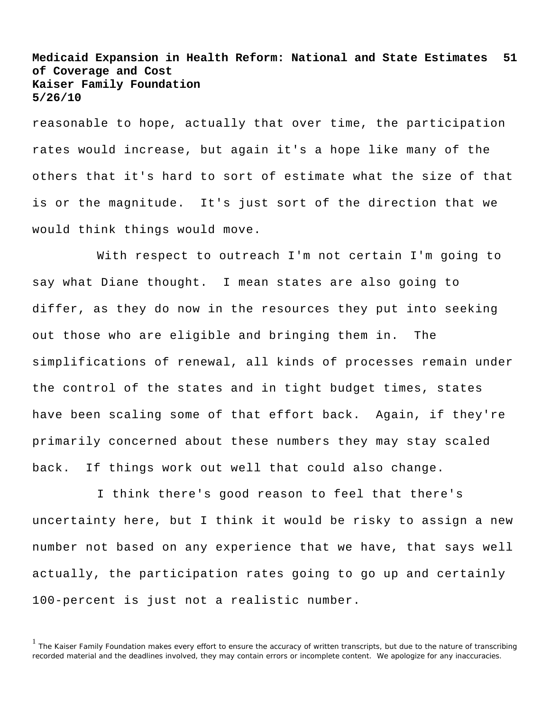reasonable to hope, actually that over time, the participation rates would increase, but again it's a hope like many of the others that it's hard to sort of estimate what the size of that is or the magnitude. It's just sort of the direction that we would think things would move.

With respect to outreach I'm not certain I'm going to say what Diane thought. I mean states are also going to differ, as they do now in the resources they put into seeking out those who are eligible and bringing them in. The simplifications of renewal, all kinds of processes remain under the control of the states and in tight budget times, states have been scaling some of that effort back. Again, if they're primarily concerned about these numbers they may stay scaled back. If things work out well that could also change.

I think there's good reason to feel that there's uncertainty here, but I think it would be risky to assign a new number not based on any experience that we have, that says well actually, the participation rates going to go up and certainly 100-percent is just not a realistic number.

<sup>&</sup>lt;sup>1</sup> The Kaiser Family Foundation makes every effort to ensure the accuracy of written transcripts, but due to the nature of transcribing recorded material and the deadlines involved, they may contain errors or incomplete content. We apologize for any inaccuracies.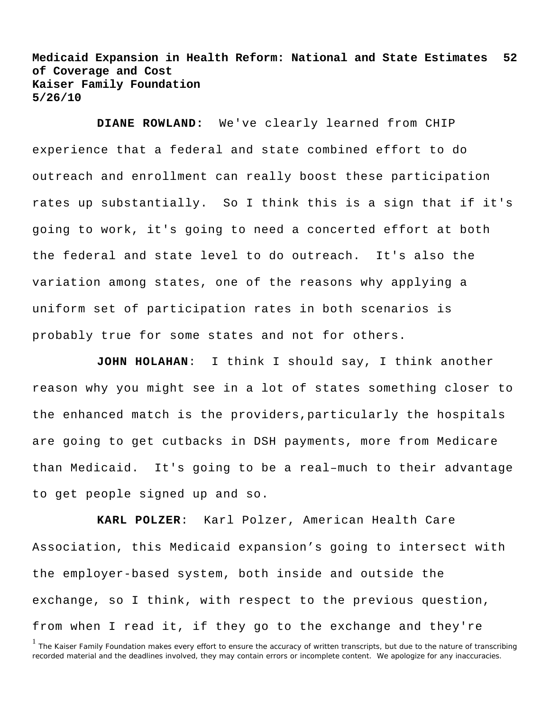**DIANE ROWLAND:** We've clearly learned from CHIP experience that a federal and state combined effort to do outreach and enrollment can really boost these participation rates up substantially. So I think this is a sign that if it's going to work, it's going to need a concerted effort at both the federal and state level to do outreach. It's also the variation among states, one of the reasons why applying a uniform set of participation rates in both scenarios is probably true for some states and not for others.

**JOHN HOLAHAN**: I think I should say, I think another reason why you might see in a lot of states something closer to the enhanced match is the providers,particularly the hospitals are going to get cutbacks in DSH payments, more from Medicare than Medicaid. It's going to be a real–much to their advantage to get people signed up and so.

**KARL POLZER**: Karl Polzer, American Health Care Association, this Medicaid expansion's going to intersect with the employer-based system, both inside and outside the exchange, so I think, with respect to the previous question, from when I read it, if they go to the exchange and they're

<sup>&</sup>lt;sup>1</sup> The Kaiser Family Foundation makes every effort to ensure the accuracy of written transcripts, but due to the nature of transcribing recorded material and the deadlines involved, they may contain errors or incomplete content. We apologize for any inaccuracies.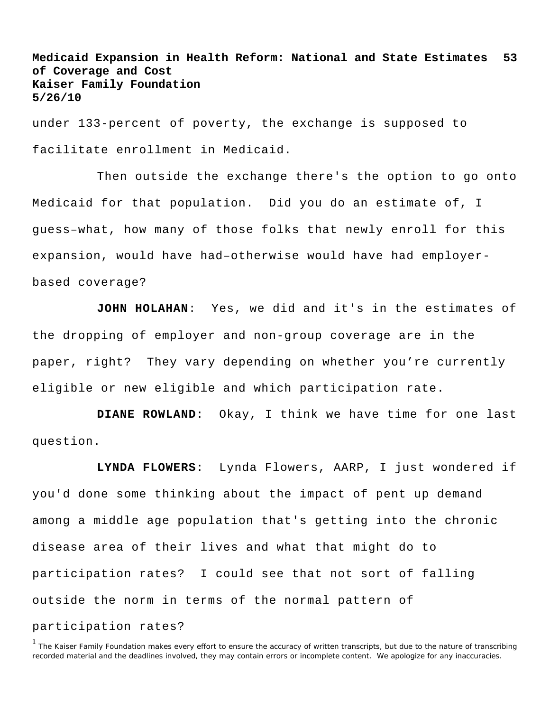under 133-percent of poverty, the exchange is supposed to facilitate enrollment in Medicaid.

Then outside the exchange there's the option to go onto Medicaid for that population. Did you do an estimate of, I guess–what, how many of those folks that newly enroll for this expansion, would have had–otherwise would have had employerbased coverage?

**JOHN HOLAHAN**: Yes, we did and it's in the estimates of the dropping of employer and non-group coverage are in the paper, right? They vary depending on whether you're currently eligible or new eligible and which participation rate.

**DIANE ROWLAND**: Okay, I think we have time for one last question.

**LYNDA FLOWERS**: Lynda Flowers, AARP, I just wondered if you'd done some thinking about the impact of pent up demand among a middle age population that's getting into the chronic disease area of their lives and what that might do to participation rates? I could see that not sort of falling outside the norm in terms of the normal pattern of participation rates?

<sup>&</sup>lt;sup>1</sup> The Kaiser Family Foundation makes every effort to ensure the accuracy of written transcripts, but due to the nature of transcribing recorded material and the deadlines involved, they may contain errors or incomplete content. We apologize for any inaccuracies.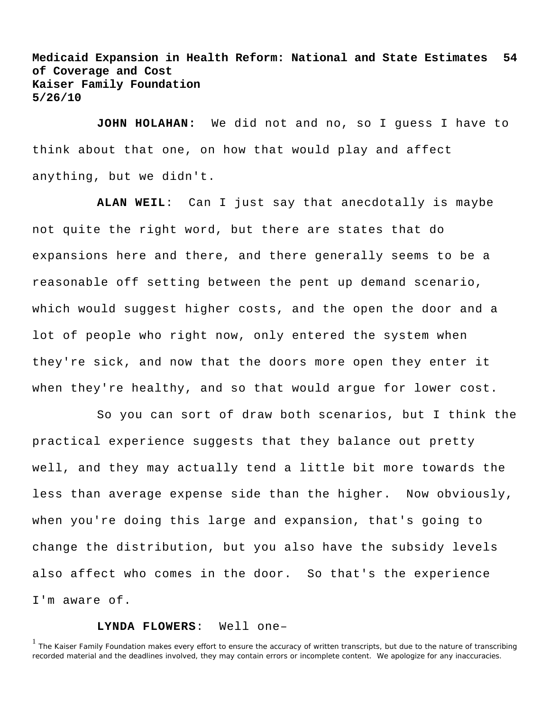**JOHN HOLAHAN:** We did not and no, so I guess I have to think about that one, on how that would play and affect anything, but we didn't.

**ALAN WEIL**: Can I just say that anecdotally is maybe not quite the right word, but there are states that do expansions here and there, and there generally seems to be a reasonable off setting between the pent up demand scenario, which would suggest higher costs, and the open the door and a lot of people who right now, only entered the system when they're sick, and now that the doors more open they enter it when they're healthy, and so that would argue for lower cost.

So you can sort of draw both scenarios, but I think the practical experience suggests that they balance out pretty well, and they may actually tend a little bit more towards the less than average expense side than the higher. Now obviously, when you're doing this large and expansion, that's going to change the distribution, but you also have the subsidy levels also affect who comes in the door. So that's the experience I'm aware of.

## **LYNDA FLOWERS**: Well one–

<sup>1</sup> The Kaiser Family Foundation makes every effort to ensure the accuracy of written transcripts, but due to the nature of transcribing recorded material and the deadlines involved, they may contain errors or incomplete content. We apologize for any inaccuracies.